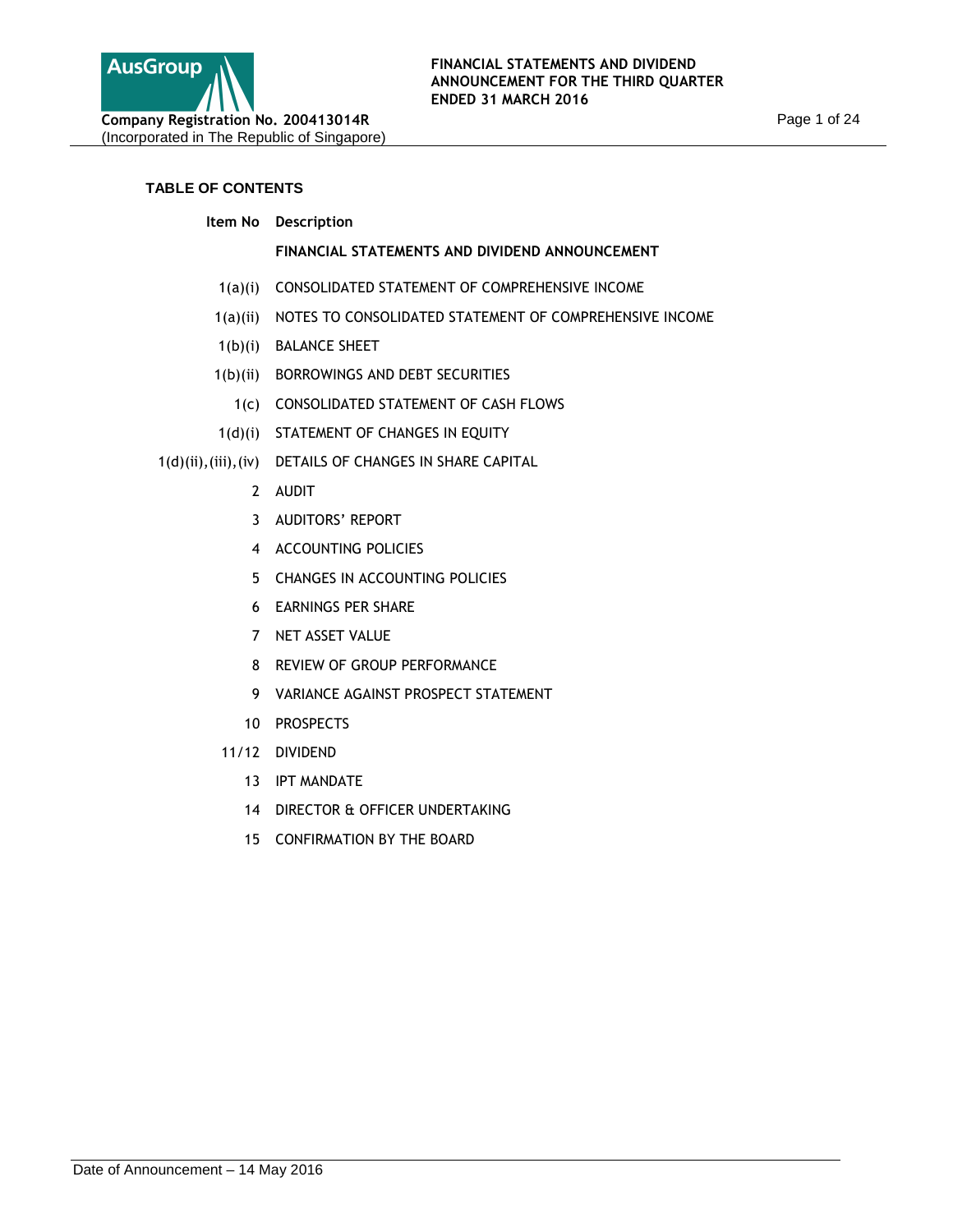

# **TABLE OF CONTENTS**

**Item No Description**

# **FINANCIAL STATEMENTS AND DIVIDEND ANNOUNCEMENT**

- 1(a)(i) CONSOLIDATED STATEMENT OF COMPREHENSIVE INCOME
- 1(a)(ii) NOTES TO CONSOLIDATED STATEMENT OF COMPREHENSIVE INCOME
- 1(b)(i) BALANCE SHEET
- 1(b)(ii) BORROWINGS AND DEBT SECURITIES
	- 1(c) CONSOLIDATED STATEMENT OF CASH FLOWS
- 1(d)(i) STATEMENT OF CHANGES IN EQUITY
- 1(d)(ii),(iii),(iv) DETAILS OF CHANGES IN SHARE CAPITAL
	- 2 AUDIT
	- 3 AUDITORS' REPORT
	- 4 ACCOUNTING POLICIES
	- 5 CHANGES IN ACCOUNTING POLICIES
	- 6 EARNINGS PER SHARE
	- 7 NET ASSET VALUE
	- 8 REVIEW OF GROUP PERFORMANCE
	- 9 VARIANCE AGAINST PROSPECT STATEMENT
	- 10 PROSPECTS
	- 11/12 DIVIDEND
		- 13 IPT MANDATE
		- 14 DIRECTOR & OFFICER UNDERTAKING
		- 15 CONFIRMATION BY THE BOARD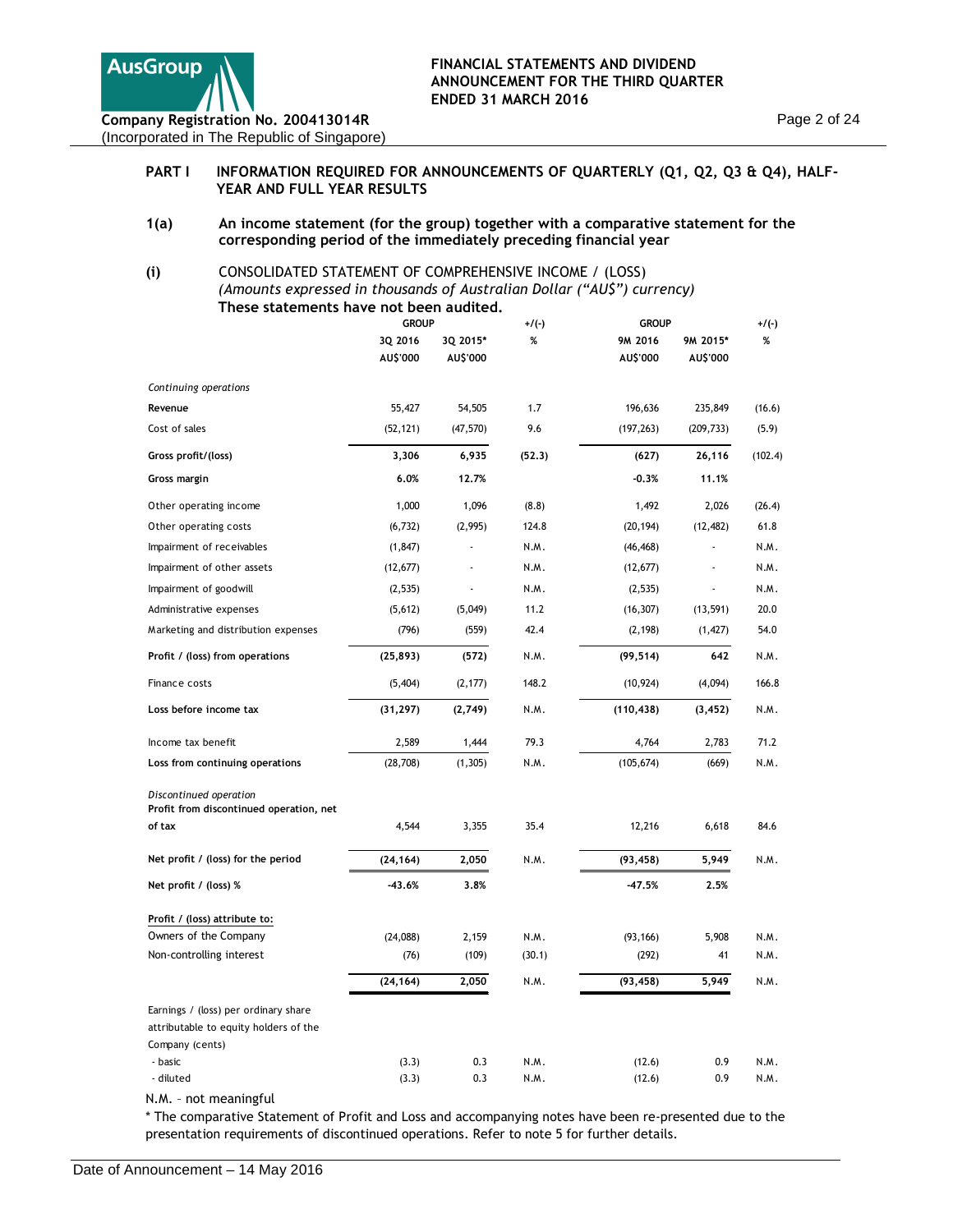

## PART I INFORMATION REQUIRED FOR ANNOUNCEMENTS OF QUARTERLY (Q1, Q2, Q3 & Q4), HALF-**YEAR AND FULL YEAR RESULTS**

**1(a) An income statement (for the group) together with a comparative statement for the corresponding period of the immediately preceding financial year**

## **(i)** CONSOLIDATED STATEMENT OF COMPREHENSIVE INCOME / (LOSS) *(Amounts expressed in thousands of Australian Dollar ("AU\$") currency)*  **These statements have not been audited.**

|                                                                               | <b>GROUP</b> |           | +/(-)  | <b>GROUP</b> |            |         |
|-------------------------------------------------------------------------------|--------------|-----------|--------|--------------|------------|---------|
|                                                                               | 3Q 2016      | 3Q 2015*  | %      | 9M 2016      | 9M 2015*   | %       |
|                                                                               | AU\$'000     | AU\$'000  |        | AU\$'000     | AU\$'000   |         |
| Continuing operations                                                         |              |           |        |              |            |         |
| Revenue                                                                       | 55,427       | 54,505    | 1.7    | 196,636      | 235,849    | (16.6)  |
| Cost of sales                                                                 | (52, 121)    | (47, 570) | 9.6    | (197, 263)   | (209, 733) | (5.9)   |
| Gross profit/(loss)                                                           | 3,306        | 6,935     | (52.3) | (627)        | 26,116     | (102.4) |
| Gross margin                                                                  | 6.0%         | 12.7%     |        | $-0.3%$      | 11.1%      |         |
| Other operating income                                                        | 1,000        | 1,096     | (8.8)  | 1,492        | 2,026      | (26.4)  |
| Other operating costs                                                         | (6, 732)     | (2,995)   | 124.8  | (20, 194)    | (12, 482)  | 61.8    |
| Impairment of receivables                                                     | (1, 847)     |           | N.M.   | (46, 468)    |            | N.M.    |
| Impairment of other assets                                                    | (12, 677)    |           | N.M.   | (12, 677)    |            | N.M.    |
| Impairment of goodwill                                                        | (2,535)      |           | N.M.   | (2,535)      |            | N.M.    |
| Administrative expenses                                                       | (5,612)      | (5,049)   | 11.2   | (16, 307)    | (13, 591)  | 20.0    |
| Marketing and distribution expenses                                           | (796)        | (559)     | 42.4   | (2, 198)     | (1, 427)   | 54.0    |
| Profit / (loss) from operations                                               | (25, 893)    | (572)     | N.M.   | (99, 514)    | 642        | N.M.    |
| Finance costs                                                                 | (5,404)      | (2, 177)  | 148.2  | (10, 924)    | (4,094)    | 166.8   |
| Loss before income tax                                                        | (31, 297)    | (2,749)   | N.M.   | (110, 438)   | (3, 452)   | N.M.    |
| Income tax benefit                                                            | 2,589        | 1,444     | 79.3   | 4,764        | 2,783      | 71.2    |
| Loss from continuing operations                                               | (28, 708)    | (1, 305)  | N.M.   | (105, 674)   | (669)      | N.M.    |
| Discontinued operation                                                        |              |           |        |              |            |         |
| Profit from discontinued operation, net                                       |              |           | 35.4   |              |            | 84.6    |
| of tax                                                                        | 4,544        | 3,355     |        | 12,216       | 6,618      |         |
| Net profit / (loss) for the period                                            | (24, 164)    | 2,050     | N.M.   | (93, 458)    | 5,949      | N.M.    |
| Net profit / (loss) %                                                         | $-43.6%$     | 3.8%      |        | $-47.5%$     | 2.5%       |         |
| Profit / (loss) attribute to:                                                 |              |           |        |              |            |         |
| Owners of the Company                                                         | (24,088)     | 2,159     | N.M.   | (93, 166)    | 5,908      | N.M.    |
| Non-controlling interest                                                      | (76)         | (109)     | (30.1) | (292)        | 41         | N.M.    |
|                                                                               | (24, 164)    | 2,050     | N.M.   | (93, 458)    | 5,949      | N.M.    |
| Earnings / (loss) per ordinary share<br>attributable to equity holders of the |              |           |        |              |            |         |
| Company (cents)                                                               |              |           |        |              |            |         |
| - basic                                                                       | (3.3)        | 0.3       | N.M.   | (12.6)       | 0.9        | N.M.    |
| - diluted                                                                     | (3.3)        | 0.3       | N.M.   | (12.6)       | 0.9        | N.M.    |
| N.M. - not meaningful                                                         |              |           |        |              |            |         |

\* The comparative Statement of Profit and Loss and accompanying notes have been re-presented due to the presentation requirements of discontinued operations. Refer to note 5 for further details.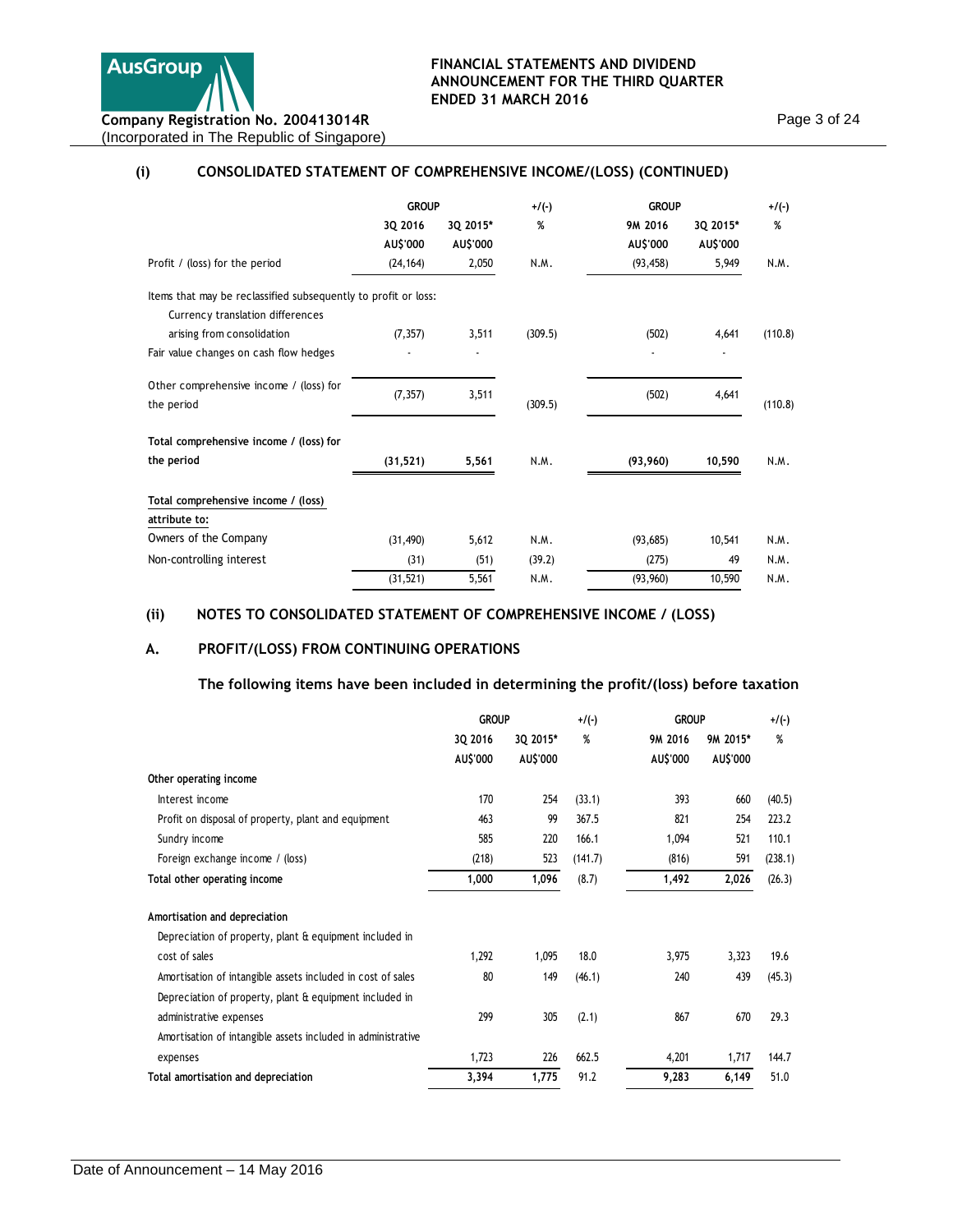

# **(i) CONSOLIDATED STATEMENT OF COMPREHENSIVE INCOME/(LOSS) (CONTINUED)**

|                                                                                                    | <b>GROUP</b>        |                      | $+/(-)$ | <b>GROUP</b>        |                             | $+/(-)$ |
|----------------------------------------------------------------------------------------------------|---------------------|----------------------|---------|---------------------|-----------------------------|---------|
|                                                                                                    | 3Q 2016<br>AU\$'000 | 3Q 2015*<br>AU\$'000 | %       | 9M 2016<br>AU\$'000 | 3Q 2015*<br><b>AU\$'000</b> | %       |
| Profit / (loss) for the period                                                                     | (24, 164)           | 2,050                | N.M.    | (93, 458)           | 5,949                       | N.M.    |
| Items that may be reclassified subsequently to profit or loss:<br>Currency translation differences |                     |                      |         |                     |                             |         |
| arising from consolidation                                                                         | (7, 357)            | 3,511                | (309.5) | (502)               | 4,641                       | (110.8) |
| Fair value changes on cash flow hedges                                                             |                     |                      |         |                     |                             |         |
| Other comprehensive income / (loss) for<br>the period                                              | (7, 357)            | 3,511                | (309.5) | (502)               | 4,641                       | (110.8) |
| Total comprehensive income / (loss) for                                                            |                     |                      |         |                     |                             |         |
| the period                                                                                         | (31, 521)           | 5,561                | N.M.    | (93,960)            | 10,590                      | N.M.    |
| Total comprehensive income / (loss)<br>attribute to:                                               |                     |                      |         |                     |                             |         |
| Owners of the Company                                                                              | (31, 490)           | 5,612                | N.M.    | (93,685)            | 10,541                      | N.M.    |
| Non-controlling interest                                                                           | (31)                | (51)                 | (39.2)  | (275)               | 49                          | N.M.    |
|                                                                                                    | (31, 521)           | 5,561                | N.M.    | (93,960)            | 10,590                      | N.M.    |

## **(ii) NOTES TO CONSOLIDATED STATEMENT OF COMPREHENSIVE INCOME / (LOSS)**

# **A. PROFIT/(LOSS) FROM CONTINUING OPERATIONS**

**The following items have been included in determining the profit/(loss) before taxation** 

|                                                              | <b>GROUP</b> |          | $+$ /(-) | <b>GROUP</b> |          | $+$ /(-) |
|--------------------------------------------------------------|--------------|----------|----------|--------------|----------|----------|
|                                                              | 3Q 2016      | 3Q 2015* | %        | 9M 2016      | 9M 2015* | %        |
|                                                              | AU\$'000     | AU\$'000 |          | AU\$'000     | AU\$'000 |          |
| Other operating income                                       |              |          |          |              |          |          |
| Interest income                                              | 170          | 254      | (33.1)   | 393          | 660      | (40.5)   |
| Profit on disposal of property, plant and equipment          | 463          | 99       | 367.5    | 821          | 254      | 223.2    |
| Sundry income                                                | 585          | 220      | 166.1    | 1,094        | 521      | 110.1    |
| Foreign exchange income / (loss)                             | (218)        | 523      | (141.7)  | (816)        | 591      | (238.1)  |
| Total other operating income                                 | 1,000        | 1,096    | (8.7)    | 1,492        | 2,026    | (26.3)   |
| Amortisation and depreciation                                |              |          |          |              |          |          |
| Depreciation of property, plant & equipment included in      |              |          |          |              |          |          |
| cost of sales                                                | 1,292        | 1,095    | 18.0     | 3,975        | 3,323    | 19.6     |
| Amortisation of intangible assets included in cost of sales  | 80           | 149      | (46.1)   | 240          | 439      | (45.3)   |
| Depreciation of property, plant & equipment included in      |              |          |          |              |          |          |
| administrative expenses                                      | 299          | 305      | (2.1)    | 867          | 670      | 29.3     |
| Amortisation of intangible assets included in administrative |              |          |          |              |          |          |
| expenses                                                     | 1,723        | 226      | 662.5    | 4,201        | 1,717    | 144.7    |
| Total amortisation and depreciation                          | 3,394        | 1,775    | 91.2     | 9,283        | 6,149    | 51.0     |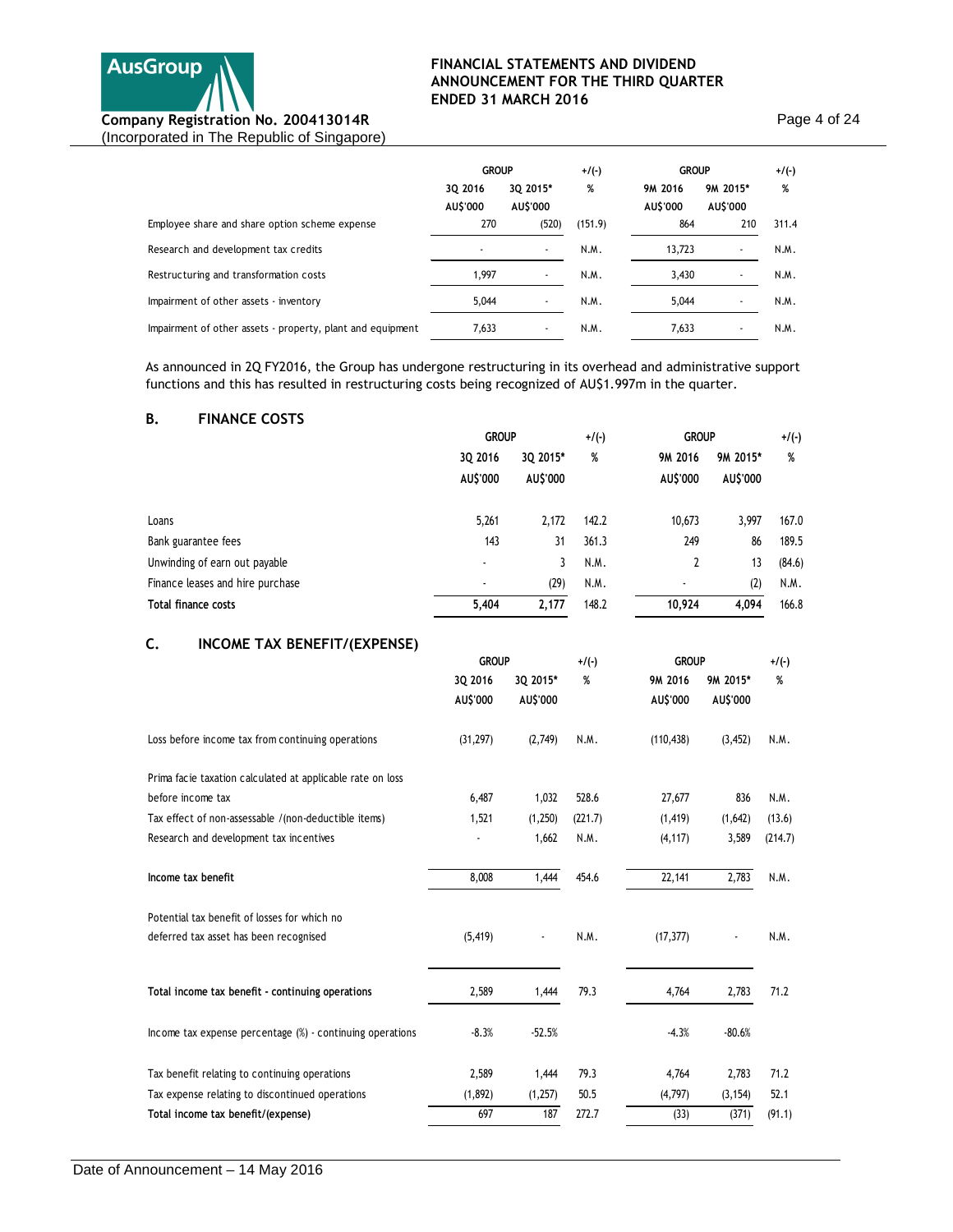

Page 4 of 24

|                                                            | <b>GROUP</b>             |                             | $+$ /(-) | <b>GROUP</b>        |                      | $+/(-)$ |
|------------------------------------------------------------|--------------------------|-----------------------------|----------|---------------------|----------------------|---------|
|                                                            | 3Q 2016<br>AU\$'000      | 3Q 2015*<br><b>AU\$'000</b> | %        | 9M 2016<br>AU\$'000 | 9M 2015*<br>AU\$'000 | %       |
| Employee share and share option scheme expense             | 270                      | (520)                       | (151.9)  | 864                 | 210                  | 311.4   |
| Research and development tax credits                       | $\overline{\phantom{a}}$ |                             | N.M.     | 13,723              |                      | N.M.    |
| Restructuring and transformation costs                     | 1,997                    |                             | N.M.     | 3,430               |                      | N.M.    |
| Impairment of other assets - inventory                     | 5.044                    |                             | N.M.     | 5,044               |                      | N.M.    |
| Impairment of other assets - property, plant and equipment | 7,633                    |                             | N.M.     | 7,633               |                      | N.M.    |

As announced in 2Q FY2016, the Group has undergone restructuring in its overhead and administrative support functions and this has resulted in restructuring costs being recognized of AU\$1.997m in the quarter.

## **B. FINANCE COSTS**

|                                    |                          | <b>GROUP</b>         |         | <b>GROUP</b><br>$+/(-)$ |                      | $+$ /(-) |
|------------------------------------|--------------------------|----------------------|---------|-------------------------|----------------------|----------|
|                                    | 3Q 2016                  | 3Q 2015*             | %       | 9M 2016                 | 9M 2015*             | %        |
|                                    | AU\$'000                 | AU\$'000             |         | AU\$'000                | AU\$'000             |          |
| Loans                              | 5,261                    | 2,172                | 142.2   | 10,673                  | 3,997                | 167.0    |
| Bank guarantee fees                | 143                      | 31                   | 361.3   | 249                     | 86                   | 189.5    |
| Unwinding of earn out payable      | $\overline{\phantom{a}}$ | 3                    | N.M.    | 2                       | 13                   | (84.6)   |
| Finance leases and hire purchase   |                          | (29)                 | N.M.    |                         | (2)                  | N.M.     |
| Total finance costs                | 5,404                    | 2,177                | 148.2   | 10,924                  | 4,094                | 166.8    |
| c.<br>INCOME TAX BENEFIT/(EXPENSE) |                          |                      |         |                         |                      |          |
|                                    | <b>GROUP</b>             |                      | $+/(-)$ | <b>GROUP</b>            |                      | $+/(-)$  |
|                                    | 3Q 2016<br>AU\$'000      | 3Q 2015*<br>AU\$'000 | %       | 9M 2016<br>AU\$'000     | 9M 2015*<br>AU\$'000 | %        |

|                                                              | AU\$'000  | AU\$'000 |         | AU\$'000   | AU\$'000 |         |
|--------------------------------------------------------------|-----------|----------|---------|------------|----------|---------|
| Loss before income tax from continuing operations            | (31, 297) | (2,749)  | N.M.    | (110, 438) | (3, 452) | N.M.    |
| Prima facie taxation calculated at applicable rate on loss   |           |          |         |            |          |         |
| before income tax                                            | 6,487     | 1,032    | 528.6   | 27,677     | 836      | N.M.    |
| Tax effect of non-assessable /(non-deductible items)         | 1,521     | (1,250)  | (221.7) | (1, 419)   | (1,642)  | (13.6)  |
| Research and development tax incentives                      |           | 1,662    | N.M.    | (4, 117)   | 3,589    | (214.7) |
| Income tax benefit                                           | 8,008     | 1,444    | 454.6   | 22,141     | 2,783    | N.M.    |
| Potential tax benefit of losses for which no                 |           |          |         |            |          |         |
| deferred tax asset has been recognised                       | (5, 419)  |          | N.M.    | (17, 377)  |          | N.M.    |
| Total income tax benefit - continuing operations             | 2,589     | 1,444    | 79.3    | 4,764      | 2,783    | 71.2    |
| Income tax expense percentage $(\%)$ - continuing operations | $-8.3%$   | $-52.5%$ |         | $-4.3%$    | $-80.6%$ |         |
| Tax benefit relating to continuing operations                | 2,589     | 1,444    | 79.3    | 4,764      | 2,783    | 71.2    |
| Tax expense relating to discontinued operations              | (1,892)   | (1,257)  | 50.5    | (4,797)    | (3, 154) | 52.1    |
| Total income tax benefit/(expense)                           | 697       | 187      | 272.7   | (33)       | (371)    | (91.1)  |
|                                                              |           |          |         |            |          |         |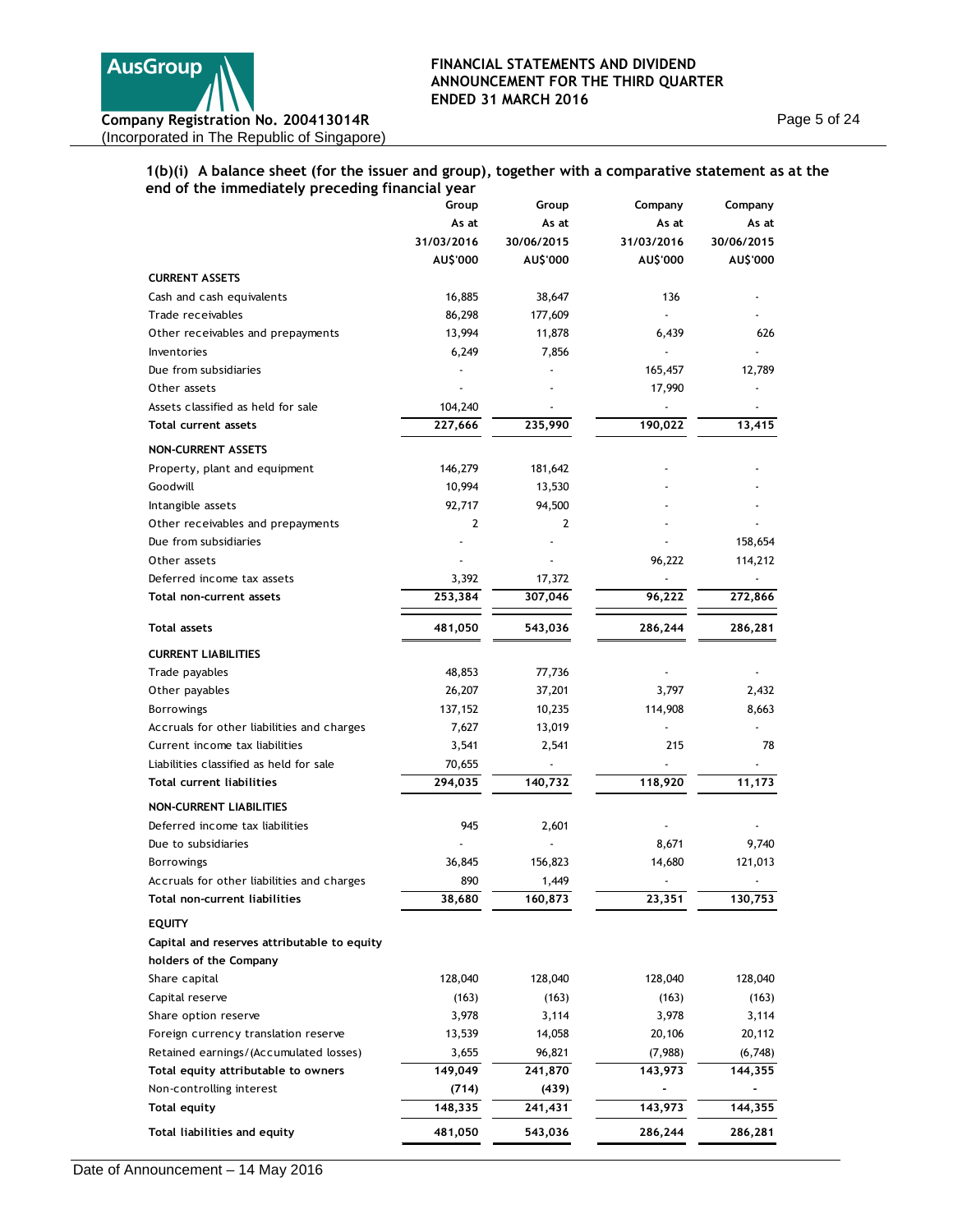

Page 5 of 24

## **1(b)(i) A balance sheet (for the issuer and group), together with a comparative statement as at the end of the immediately preceding financial year**

| or the immediately preceding imancial year  | Group      | Group      | Company        | Company    |
|---------------------------------------------|------------|------------|----------------|------------|
|                                             | As at      | As at      | As at          | As at      |
|                                             | 31/03/2016 | 30/06/2015 | 31/03/2016     | 30/06/2015 |
|                                             | AU\$'000   | AU\$'000   | AU\$'000       | AU\$'000   |
| <b>CURRENT ASSETS</b>                       |            |            |                |            |
| Cash and cash equivalents                   | 16,885     | 38,647     | 136            |            |
| Trade receivables                           | 86,298     | 177,609    |                |            |
| Other receivables and prepayments           | 13,994     | 11,878     | 6,439          | 626        |
| Inventories                                 | 6,249      | 7,856      | $\overline{a}$ |            |
| Due from subsidiaries                       |            |            | 165,457        | 12,789     |
| Other assets                                |            |            | 17,990         |            |
| Assets classified as held for sale          | 104,240    |            |                |            |
| <b>Total current assets</b>                 | 227,666    | 235,990    | 190,022        | 13,415     |
| <b>NON-CURRENT ASSETS</b>                   |            |            |                |            |
| Property, plant and equipment               | 146,279    | 181,642    |                |            |
| Goodwill                                    | 10,994     | 13,530     |                |            |
| Intangible assets                           | 92,717     | 94,500     |                |            |
| Other receivables and prepayments           | 2          | 2          |                |            |
| Due from subsidiaries                       |            |            |                | 158,654    |
| Other assets                                |            |            | 96,222         | 114,212    |
| Deferred income tax assets                  | 3,392      | 17,372     |                |            |
| Total non-current assets                    | 253,384    | 307,046    | 96,222         | 272,866    |
| <b>Total assets</b>                         | 481,050    | 543,036    | 286,244        | 286,281    |
| <b>CURRENT LIABILITIES</b>                  |            |            |                |            |
| Trade payables                              | 48,853     | 77,736     |                |            |
| Other payables                              | 26,207     | 37,201     | 3,797          | 2,432      |
| <b>Borrowings</b>                           | 137,152    | 10,235     | 114,908        | 8,663      |
| Accruals for other liabilities and charges  | 7,627      | 13,019     |                |            |
| Current income tax liabilities              | 3,541      | 2,541      | 215            | 78         |
| Liabilities classified as held for sale     | 70,655     |            |                |            |
| <b>Total current liabilities</b>            | 294,035    | 140,732    | 118,920        | 11,173     |
| <b>NON-CURRENT LIABILITIES</b>              |            |            |                |            |
| Deferred income tax liabilities             | 945        | 2,601      |                |            |
| Due to subsidiaries                         |            |            | 8,671          | 9,740      |
| <b>Borrowings</b>                           | 36,845     | 156,823    | 14,680         | 121,013    |
| Accruals for other liabilities and charges  | 890        | 1,449      | ÷              |            |
| Total non-current liabilities               | 38,680     | 160,873    | 23,351         | 130,753    |
| <b>EQUITY</b>                               |            |            |                |            |
| Capital and reserves attributable to equity |            |            |                |            |
| holders of the Company                      |            |            |                |            |
| Share capital                               | 128,040    | 128,040    | 128,040        | 128,040    |
| Capital reserve                             | (163)      | (163)      | (163)          | (163)      |
| Share option reserve                        | 3,978      | 3,114      | 3,978          | 3,114      |
| Foreign currency translation reserve        | 13,539     | 14,058     | 20,106         | 20,112     |
| Retained earnings/(Accumulated losses)      | 3,655      | 96,821     | (7,988)        | (6,748)    |
| Total equity attributable to owners         | 149,049    | 241,870    | 143,973        | 144,355    |
| Non-controlling interest                    | (714)      | (439)      |                |            |
| <b>Total equity</b>                         | 148,335    | 241,431    | 143,973        | 144,355    |
| Total liabilities and equity                | 481,050    | 543,036    | 286,244        | 286,281    |
|                                             |            |            |                |            |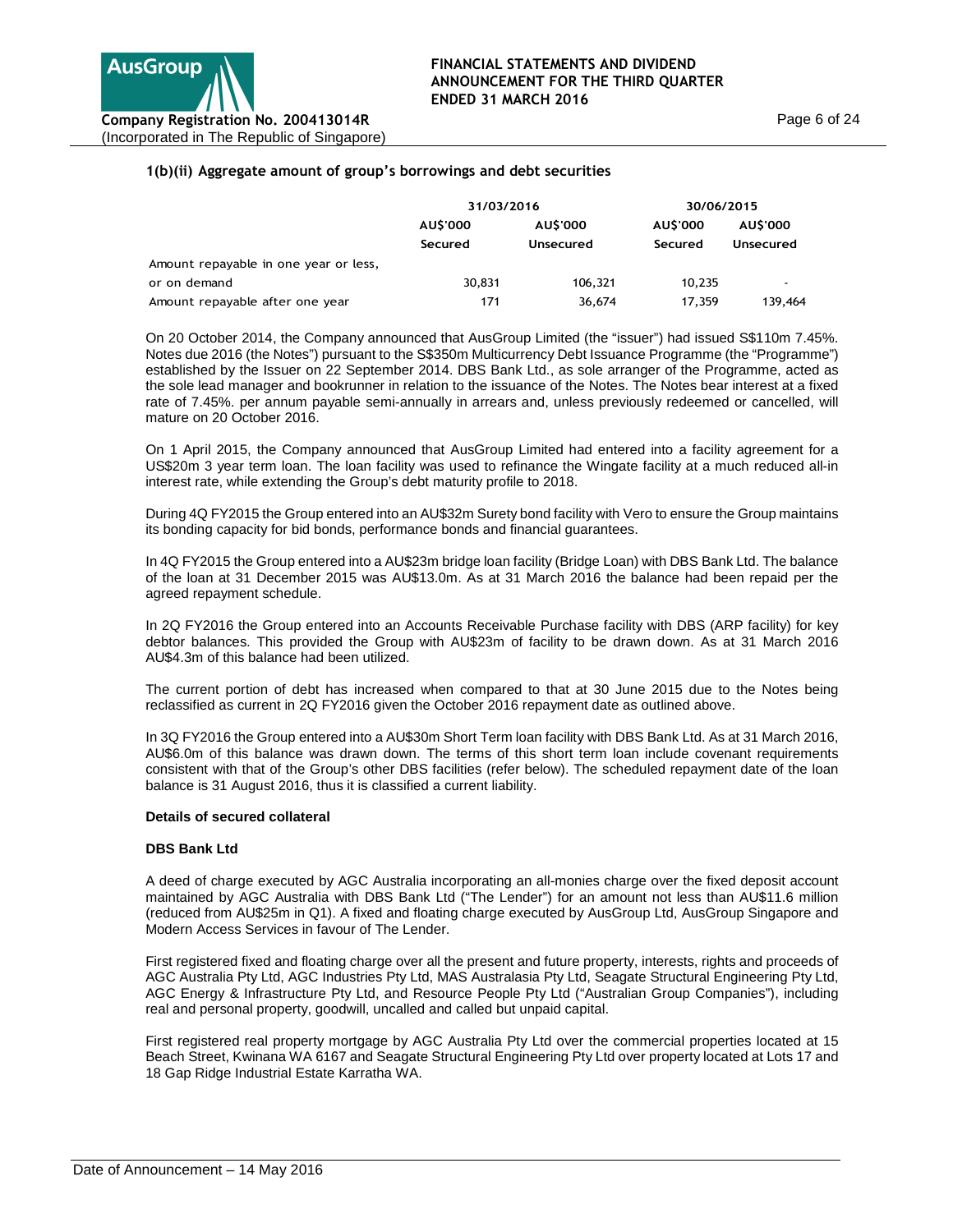## **1(b)(ii) Aggregate amount of group's borrowings and debt securities**

|                                       | 31/03/2016      |           | 30/06/2015 |                       |  |
|---------------------------------------|-----------------|-----------|------------|-----------------------|--|
|                                       | <b>AU\$'000</b> | AU\$'000  | AU\$'000   | AU\$'000<br>Unsecured |  |
|                                       | Secured         | Unsecured | Secured    |                       |  |
| Amount repayable in one year or less, |                 |           |            |                       |  |
| or on demand                          | 30,831          | 106.321   | 10.235     |                       |  |
| Amount repayable after one year       | 171             | 36,674    | 17.359     | 139.464               |  |

On 20 October 2014, the Company announced that AusGroup Limited (the "issuer") had issued S\$110m 7.45%. Notes due 2016 (the Notes") pursuant to the S\$350m Multicurrency Debt Issuance Programme (the "Programme") established by the Issuer on 22 September 2014. DBS Bank Ltd., as sole arranger of the Programme, acted as the sole lead manager and bookrunner in relation to the issuance of the Notes. The Notes bear interest at a fixed rate of 7.45%. per annum payable semi-annually in arrears and, unless previously redeemed or cancelled, will mature on 20 October 2016.

On 1 April 2015, the Company announced that AusGroup Limited had entered into a facility agreement for a US\$20m 3 year term loan. The loan facility was used to refinance the Wingate facility at a much reduced all-in interest rate, while extending the Group's debt maturity profile to 2018.

During 4Q FY2015 the Group entered into an AU\$32m Surety bond facility with Vero to ensure the Group maintains its bonding capacity for bid bonds, performance bonds and financial guarantees.

In 4Q FY2015 the Group entered into a AU\$23m bridge loan facility (Bridge Loan) with DBS Bank Ltd. The balance of the loan at 31 December 2015 was AU\$13.0m. As at 31 March 2016 the balance had been repaid per the agreed repayment schedule.

In 2Q FY2016 the Group entered into an Accounts Receivable Purchase facility with DBS (ARP facility) for key debtor balances. This provided the Group with AU\$23m of facility to be drawn down. As at 31 March 2016 AU\$4.3m of this balance had been utilized.

The current portion of debt has increased when compared to that at 30 June 2015 due to the Notes being reclassified as current in 2Q FY2016 given the October 2016 repayment date as outlined above.

In 3Q FY2016 the Group entered into a AU\$30m Short Term loan facility with DBS Bank Ltd. As at 31 March 2016, AU\$6.0m of this balance was drawn down. The terms of this short term loan include covenant requirements consistent with that of the Group's other DBS facilities (refer below). The scheduled repayment date of the loan balance is 31 August 2016, thus it is classified a current liability.

#### **Details of secured collateral**

#### **DBS Bank Ltd**

A deed of charge executed by AGC Australia incorporating an all-monies charge over the fixed deposit account maintained by AGC Australia with DBS Bank Ltd ("The Lender") for an amount not less than AU\$11.6 million (reduced from AU\$25m in Q1). A fixed and floating charge executed by AusGroup Ltd, AusGroup Singapore and Modern Access Services in favour of The Lender.

First registered fixed and floating charge over all the present and future property, interests, rights and proceeds of AGC Australia Pty Ltd, AGC Industries Pty Ltd, MAS Australasia Pty Ltd, Seagate Structural Engineering Pty Ltd, AGC Energy & Infrastructure Pty Ltd, and Resource People Pty Ltd ("Australian Group Companies"), including real and personal property, goodwill, uncalled and called but unpaid capital.

First registered real property mortgage by AGC Australia Pty Ltd over the commercial properties located at 15 Beach Street, Kwinana WA 6167 and Seagate Structural Engineering Pty Ltd over property located at Lots 17 and 18 Gap Ridge Industrial Estate Karratha WA.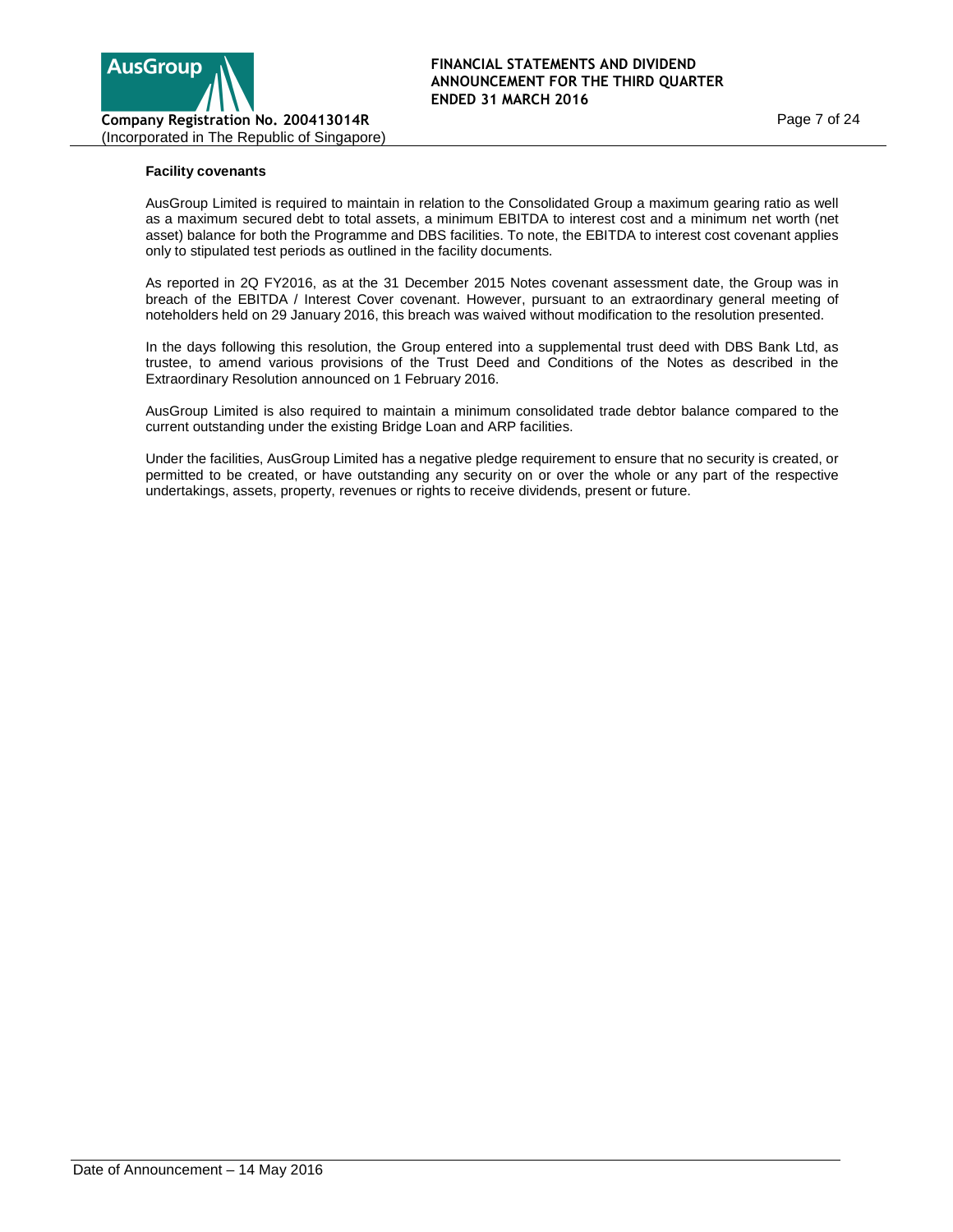

## **Facility covenants**

AusGroup Limited is required to maintain in relation to the Consolidated Group a maximum gearing ratio as well as a maximum secured debt to total assets, a minimum EBITDA to interest cost and a minimum net worth (net asset) balance for both the Programme and DBS facilities. To note, the EBITDA to interest cost covenant applies only to stipulated test periods as outlined in the facility documents.

As reported in 2Q FY2016, as at the 31 December 2015 Notes covenant assessment date, the Group was in breach of the EBITDA / Interest Cover covenant. However, pursuant to an extraordinary general meeting of noteholders held on 29 January 2016, this breach was waived without modification to the resolution presented.

In the days following this resolution, the Group entered into a supplemental trust deed with DBS Bank Ltd, as trustee, to amend various provisions of the Trust Deed and Conditions of the Notes as described in the Extraordinary Resolution announced on 1 February 2016.

AusGroup Limited is also required to maintain a minimum consolidated trade debtor balance compared to the current outstanding under the existing Bridge Loan and ARP facilities.

Under the facilities, AusGroup Limited has a negative pledge requirement to ensure that no security is created, or permitted to be created, or have outstanding any security on or over the whole or any part of the respective undertakings, assets, property, revenues or rights to receive dividends, present or future.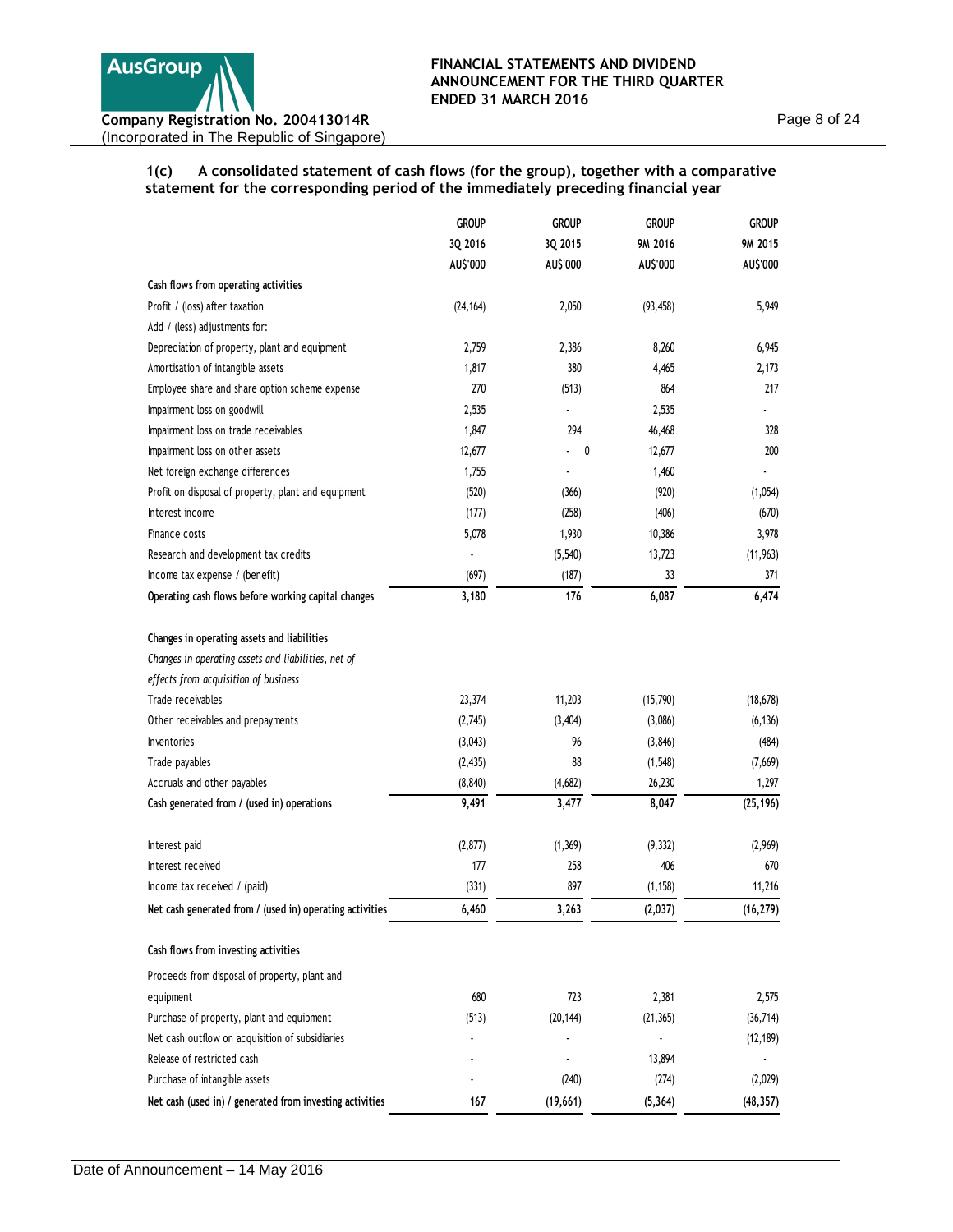Page 8 of 24

**1(c) A consolidated statement of cash flows (for the group), together with a comparative statement for the corresponding period of the immediately preceding financial year** 

|                                                          | <b>GROUP</b> | <b>GROUP</b> | <b>GROUP</b> | <b>GROUP</b> |
|----------------------------------------------------------|--------------|--------------|--------------|--------------|
|                                                          | 3Q 2016      | 3Q 2015      | 9M 2016      | 9M 2015      |
|                                                          | AU\$'000     | AU\$'000     | AU\$'000     | AU\$'000     |
| Cash flows from operating activities                     |              |              |              |              |
| Profit / (loss) after taxation                           | (24, 164)    | 2,050        | (93, 458)    | 5,949        |
| Add / (less) adjustments for:                            |              |              |              |              |
| Depreciation of property, plant and equipment            | 2,759        | 2,386        | 8,260        | 6,945        |
| Amortisation of intangible assets                        | 1,817        | 380          | 4,465        | 2,173        |
| Employee share and share option scheme expense           | 270          | (513)        | 864          | 217          |
| Impairment loss on goodwill                              | 2,535        |              | 2,535        |              |
| Impairment loss on trade receivables                     | 1,847        | 294          | 46,468       | 328          |
| Impairment loss on other assets                          | 12,677       | 0            | 12,677       | 200          |
| Net foreign exchange differences                         | 1,755        | ٠            | 1,460        |              |
| Profit on disposal of property, plant and equipment      | (520)        | (366)        | (920)        | (1,054)      |
| Interest income                                          | (177)        | (258)        | (406)        | (670)        |
| Finance costs                                            | 5,078        | 1,930        | 10,386       | 3,978        |
| Research and development tax credits                     |              | (5, 540)     | 13,723       | (11, 963)    |
| Income tax expense / (benefit)                           | (697)        | (187)        | 33           | 371          |
| Operating cash flows before working capital changes      | 3,180        | 176          | 6,087        | 6,474        |
| Changes in operating assets and liabilities              |              |              |              |              |
| Changes in operating assets and liabilities, net of      |              |              |              |              |
| effects from acquisition of business                     |              |              |              |              |
| Trade receivables                                        | 23,374       | 11,203       | (15,790)     | (18, 678)    |
| Other receivables and prepayments                        | (2,745)      | (3,404)      | (3,086)      | (6, 136)     |
| <b>Inventories</b>                                       | (3,043)      | 96           | (3, 846)     | (484)        |
| Trade payables                                           | (2, 435)     | 88           | (1, 548)     | (7,669)      |
| Accruals and other payables                              | (8, 840)     | (4,682)      | 26,230       | 1,297        |
| Cash generated from / (used in) operations               | 9,491        | 3,477        | 8,047        | (25, 196)    |
| Interest paid                                            | (2, 877)     | (1, 369)     | (9, 332)     | (2,969)      |
| Interest received                                        | 177          | 258          | 406          | 670          |
| Income tax received / (paid)                             | (331)        | 897          | (1, 158)     | 11,216       |
| Net cash generated from / (used in) operating activities | 6,460        | 3,263        | (2,037)      | (16, 279)    |
| Cash flows from investing activities                     |              |              |              |              |
| Proceeds from disposal of property, plant and            |              |              |              |              |
| equipment                                                | 680          | 723          | 2,381        | 2,575        |
| Purchase of property, plant and equipment                | (513)        | (20, 144)    | (21, 365)    | (36, 714)    |
| Net cash outflow on acquisition of subsidiaries          |              |              |              | (12, 189)    |
| Release of restricted cash                               |              |              | 13,894       |              |
| Purchase of intangible assets                            |              | (240)        | (274)        | (2,029)      |
| Net cash (used in) / generated from investing activities | 167          | (19,661)     | (5, 364)     | (48, 357)    |
|                                                          |              |              |              |              |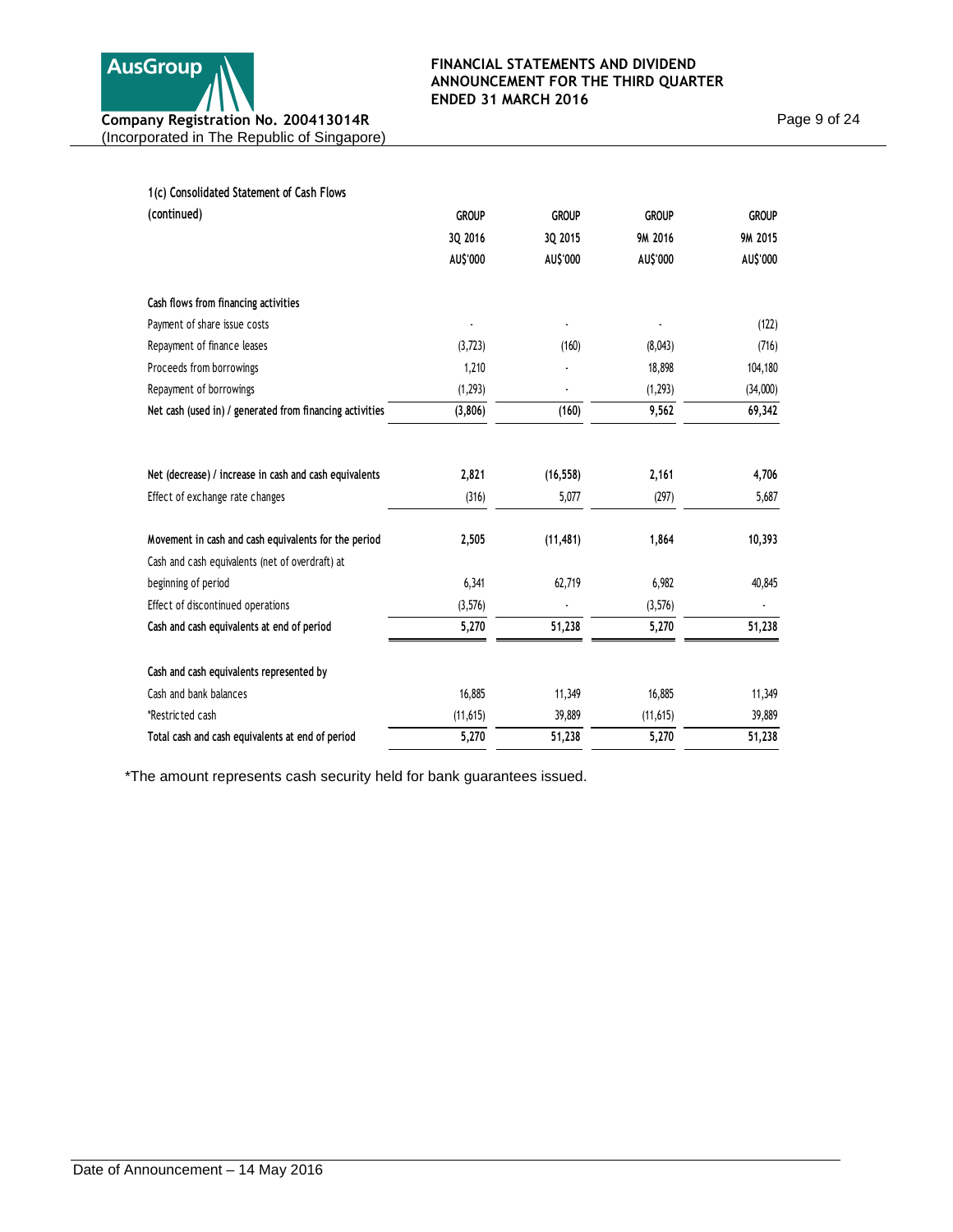

Page 9 of 24

| 1(c) Consolidated Statement of Cash Flows                |              |              |              |              |
|----------------------------------------------------------|--------------|--------------|--------------|--------------|
| (continued)                                              | <b>GROUP</b> | <b>GROUP</b> | <b>GROUP</b> | <b>GROUP</b> |
|                                                          | 3Q 2016      | 3Q 2015      | 9M 2016      | 9M 2015      |
|                                                          | AU\$'000     | AU\$'000     | AU\$'000     | AU\$'000     |
| Cash flows from financing activities                     |              |              |              |              |
| Payment of share issue costs                             |              |              |              | (122)        |
| Repayment of finance leases                              | (3,723)      | (160)        | (8,043)      | (716)        |
| Proceeds from borrowings                                 | 1,210        |              | 18,898       | 104,180      |
| Repayment of borrowings                                  | (1, 293)     |              | (1, 293)     | (34,000)     |
| Net cash (used in) / generated from financing activities | (3,806)      | (160)        | 9,562        | 69,342       |
|                                                          |              |              |              |              |
| Net (decrease) / increase in cash and cash equivalents   | 2,821        | (16, 558)    | 2,161        | 4,706        |
| Effect of exchange rate changes                          | (316)        | 5,077        | (297)        | 5,687        |
| Movement in cash and cash equivalents for the period     | 2,505        | (11, 481)    | 1,864        | 10,393       |
| Cash and cash equivalents (net of overdraft) at          |              |              |              |              |
| beginning of period                                      | 6,341        | 62,719       | 6,982        | 40,845       |
| Effect of discontinued operations                        | (3,576)      |              | (3,576)      |              |
| Cash and cash equivalents at end of period               | 5,270        | 51,238       | 5,270        | 51,238       |
| Cash and cash equivalents represented by                 |              |              |              |              |
| Cash and bank balances                                   | 16,885       | 11,349       | 16,885       | 11,349       |
| *Restricted cash                                         | (11, 615)    | 39,889       | (11, 615)    | 39,889       |
| Total cash and cash equivalents at end of period         | 5,270        | 51,238       | 5,270        | 51,238       |

\*The amount represents cash security held for bank guarantees issued.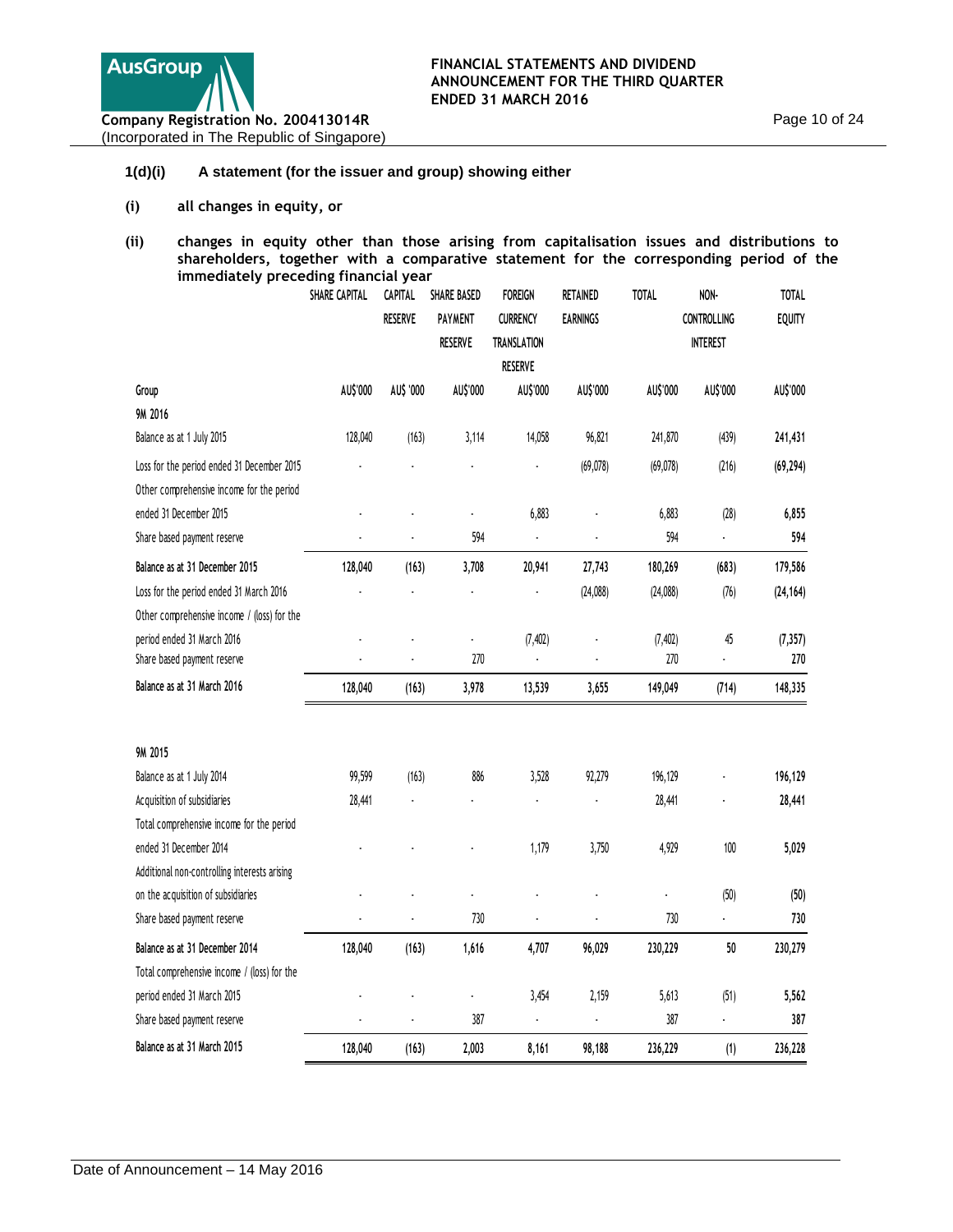

## **1(d)(i) A statement (for the issuer and group) showing either**

- **(i) all changes in equity, or**
- **(ii) changes in equity other than those arising from capitalisation issues and distributions to shareholders, together with a comparative statement for the corresponding period of the immediately preceding financial year**

|                                              | <b>SHARE CAPITAL</b> | <b>CAPITAL</b>       | <b>SHARE BASED</b> | <b>FOREIGN</b>     | RETAINED        | TOTAL     | NON-               | TOTAL         |
|----------------------------------------------|----------------------|----------------------|--------------------|--------------------|-----------------|-----------|--------------------|---------------|
|                                              |                      | <b>RESERVE</b>       | <b>PAYMENT</b>     | <b>CURRENCY</b>    | <b>EARNINGS</b> |           | <b>CONTROLLING</b> | <b>EQUITY</b> |
|                                              |                      |                      | <b>RESERVE</b>     | <b>TRANSLATION</b> |                 |           | <b>INTEREST</b>    |               |
|                                              |                      |                      |                    | <b>RESERVE</b>     |                 |           |                    |               |
| Group                                        | AU\$'000             | AU\$ '000            | AU\$'000           | AU\$'000           | AU\$'000        | AU\$'000  | AU\$'000           | AU\$'000      |
| 9M 2016                                      |                      |                      |                    |                    |                 |           |                    |               |
| Balance as at 1 July 2015                    | 128,040              | (163)                | 3,114              | 14,058             | 96,821          | 241,870   | (439)              | 241,431       |
| Loss for the period ended 31 December 2015   |                      |                      |                    |                    | (69, 078)       | (69, 078) | (216)              | (69, 294)     |
| Other comprehensive income for the period    |                      |                      |                    |                    |                 |           |                    |               |
| ended 31 December 2015                       |                      |                      | $\overline{a}$     | 6,883              |                 | 6,883     | (28)               | 6,855         |
| Share based payment reserve                  |                      |                      | 594                |                    |                 | 594       |                    | 594           |
| Balance as at 31 December 2015               | 128,040              | (163)                | 3,708              | 20,941             | 27,743          | 180,269   | (683)              | 179,586       |
| Loss for the period ended 31 March 2016      |                      |                      |                    |                    | (24,088)        | (24,088)  | (76)               | (24, 164)     |
| Other comprehensive income / (loss) for the  |                      |                      |                    |                    |                 |           |                    |               |
| period ended 31 March 2016                   |                      |                      | $\overline{a}$     | (7, 402)           |                 | (7, 402)  | 45                 | (7, 357)      |
| Share based payment reserve                  |                      | $\ddot{\phantom{0}}$ | 270                |                    |                 | 270       |                    | 270           |
| Balance as at 31 March 2016                  | 128,040              | (163)                | 3,978              | 13,539             | 3,655           | 149,049   | (714)              | 148,335       |
| 9M 2015                                      |                      |                      |                    |                    |                 |           |                    |               |
| Balance as at 1 July 2014                    | 99,599               | (163)                | 886                | 3,528              | 92,279          | 196,129   |                    | 196,129       |
| Acquisition of subsidiaries                  | 28,441               |                      |                    |                    |                 | 28,441    |                    | 28,441        |
| Total comprehensive income for the period    |                      |                      |                    |                    |                 |           |                    |               |
| ended 31 December 2014                       |                      |                      |                    | 1,179              | 3,750           | 4,929     | 100                | 5,029         |
| Additional non-controlling interests arising |                      |                      |                    |                    |                 |           |                    |               |
| on the acquisition of subsidiaries           |                      |                      |                    |                    |                 |           | (50)               | (50)          |
| Share based payment reserve                  |                      |                      | 730                |                    |                 | 730       |                    | 730           |
| Balance as at 31 December 2014               | 128,040              | (163)                | 1,616              | 4,707              | 96,029          | 230,229   | 50                 | 230,279       |
| Total comprehensive income / (loss) for the  |                      |                      |                    |                    |                 |           |                    |               |
| period ended 31 March 2015                   |                      |                      |                    | 3,454              | 2,159           | 5,613     | (51)               | 5,562         |
| Share based payment reserve                  |                      |                      | 387                |                    |                 | 387       |                    | 387           |
| Balance as at 31 March 2015                  | 128,040              | (163)                | 2,003              | 8,161              | 98,188          | 236,229   | (1)                | 236,228       |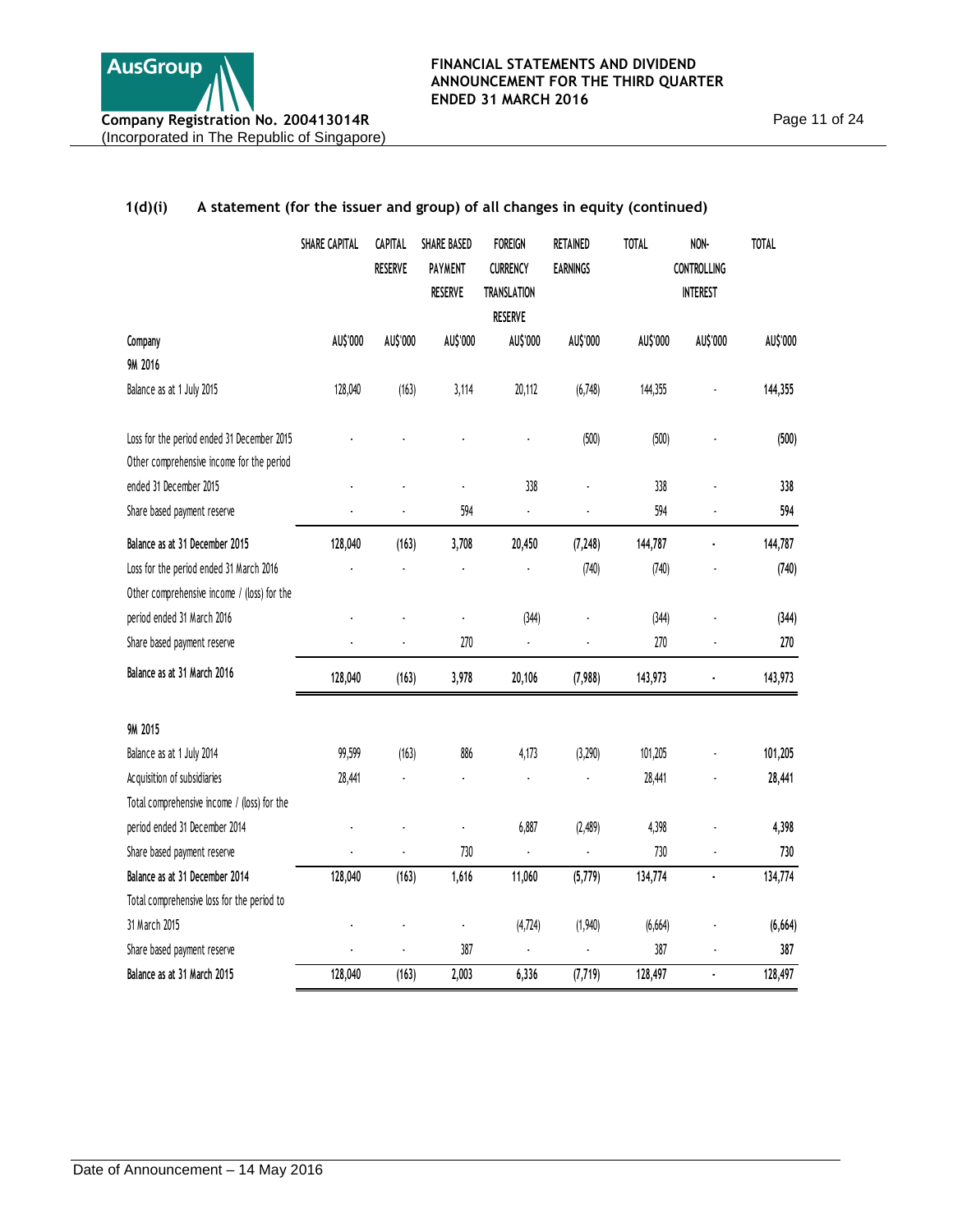# **SHARE CAPITAL CAPITAL RESERVE SHARE BASED PAYMENT RESERVE FOREIGN CURRENCY TRANSLATION RESERVE RETAINED EARNINGS TOTAL NON-CONTROLLING INTEREST TOTAL Company AU\$'000 AU\$'000 AU\$'000 AU\$'000 AU\$'000 AU\$'000 AU\$'000 AU\$'000 9M 2016** Balance as at 1 July 2015 128,040 (163) 3,114 20,112 (6,748) 144,355 - **144,355** Loss for the period ended 31 December 2015 - - - - (500) (500) - **(500)** Other comprehensive income for the period ended 31 December 2015 - - - 338 - 338 - **338** Share based payment reserve - - 594 - - 594 - **<sup>594</sup> Balance as at 31 December 2015 128,040 (163) 3,708 20,450 (7,248) 144,787 - 144,787**  Loss for the period ended 31 March 2016 - - - - (740) (740) - **(740)** Other comprehensive income / (loss) for the period ended 31 March 2016 - - - (344) - (344) - **(344)** Share based payment reserve - - 270 - - 270 - **<sup>270</sup> Balance as at 31 March 2016 (163) 128,040 3,978 20,106 (7,988) 143,973 - 143,973 9M 2015** Balance as at 1 July 2014 **101,205 99,599** (163) 886 **4,173** (3,290) 101,205 **101,205** 101,205 Acquisition of subsidiaries 28,441 - 28,441 - 28,441 - 28,441 - 28,441 - 28,441 - 28,441 - 28,441 - 28,441 - 28,441 Total comprehensive income / (loss) for the period ended 31 December 2014 - - - 6,887 (2,489) 4,398 - **4,398** Share based payment reserve **730** - 730 - 730 - 730 - 730 - 730 - 730 - 730 - 730 - 730 - 730 - 730 - 730 - 730 - 730 - 730 - 730 - 730 - 730 - 730 - 730 - 730 - 730 - 730 - 730 - 730 - 730 - 730 - 730 - 730 - 730 - 730 - **Balance as at 31 December 2014 128,040 (163) 1,616 11,060 (5,779) 134,774 - 134,774**  Total comprehensive loss for the period to 31 March 2015 - - - (4,724) (1,940) (6,664) - **(6,664)** Share based payment reserve and the state of the state of the state of the state of the state of the state of the state of the state of the state of the state of the state of the state of the state of the state of the stat **Balance as at 31 March 2015 128,040 (163) 2,003 6,336 (7,719) 128,497 - 128,497**

## **1(d)(i) A statement (for the issuer and group) of all changes in equity (continued)**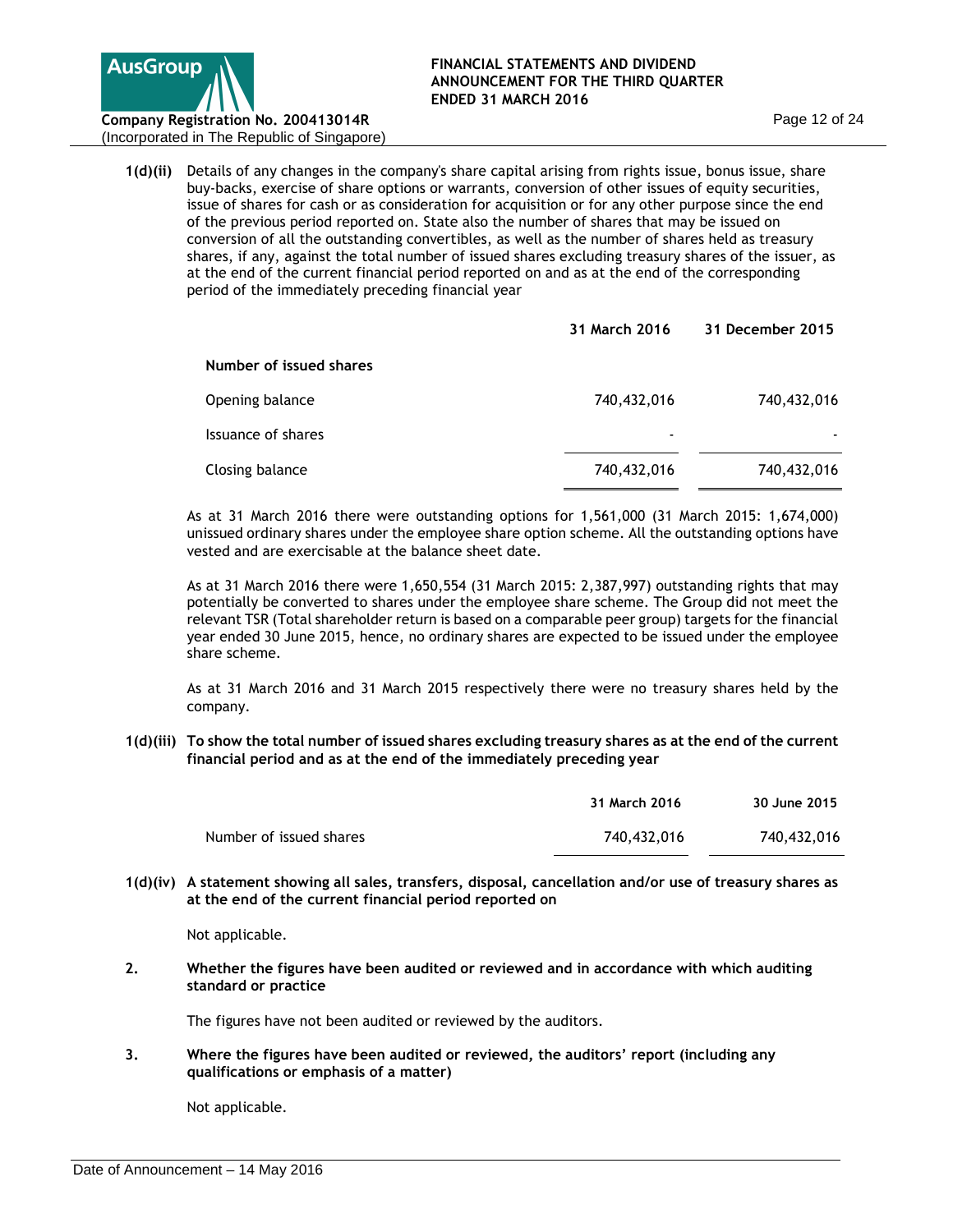

(Incorporated in The Republic of Singapore)

**1(d)(ii)** Details of any changes in the company's share capital arising from rights issue, bonus issue, share buy-backs, exercise of share options or warrants, conversion of other issues of equity securities, issue of shares for cash or as consideration for acquisition or for any other purpose since the end of the previous period reported on. State also the number of shares that may be issued on conversion of all the outstanding convertibles, as well as the number of shares held as treasury shares, if any, against the total number of issued shares excluding treasury shares of the issuer, as at the end of the current financial period reported on and as at the end of the corresponding period of the immediately preceding financial year

|                         | 31 March 2016            | 31 December 2015 |
|-------------------------|--------------------------|------------------|
| Number of issued shares |                          |                  |
| Opening balance         | 740,432,016              | 740,432,016      |
| Issuance of shares      | $\overline{\phantom{a}}$ |                  |
| Closing balance         | 740,432,016              | 740,432,016      |

As at 31 March 2016 there were outstanding options for 1,561,000 (31 March 2015: 1,674,000) unissued ordinary shares under the employee share option scheme. All the outstanding options have vested and are exercisable at the balance sheet date.

As at 31 March 2016 there were 1,650,554 (31 March 2015: 2,387,997) outstanding rights that may potentially be converted to shares under the employee share scheme. The Group did not meet the relevant TSR (Total shareholder return is based on a comparable peer group) targets for the financial year ended 30 June 2015, hence, no ordinary shares are expected to be issued under the employee share scheme.

As at 31 March 2016 and 31 March 2015 respectively there were no treasury shares held by the company.

**1(d)(iii) To show the total number of issued shares excluding treasury shares as at the end of the current financial period and as at the end of the immediately preceding year** 

|                         | 31 March 2016 | 30 June 2015 |
|-------------------------|---------------|--------------|
| Number of issued shares | 740,432,016   | 740,432,016  |

**1(d)(iv) A statement showing all sales, transfers, disposal, cancellation and/or use of treasury shares as at the end of the current financial period reported on** 

Not applicable.

**2. Whether the figures have been audited or reviewed and in accordance with which auditing standard or practice**

The figures have not been audited or reviewed by the auditors.

**3. Where the figures have been audited or reviewed, the auditors' report (including any qualifications or emphasis of a matter)**

Not applicable.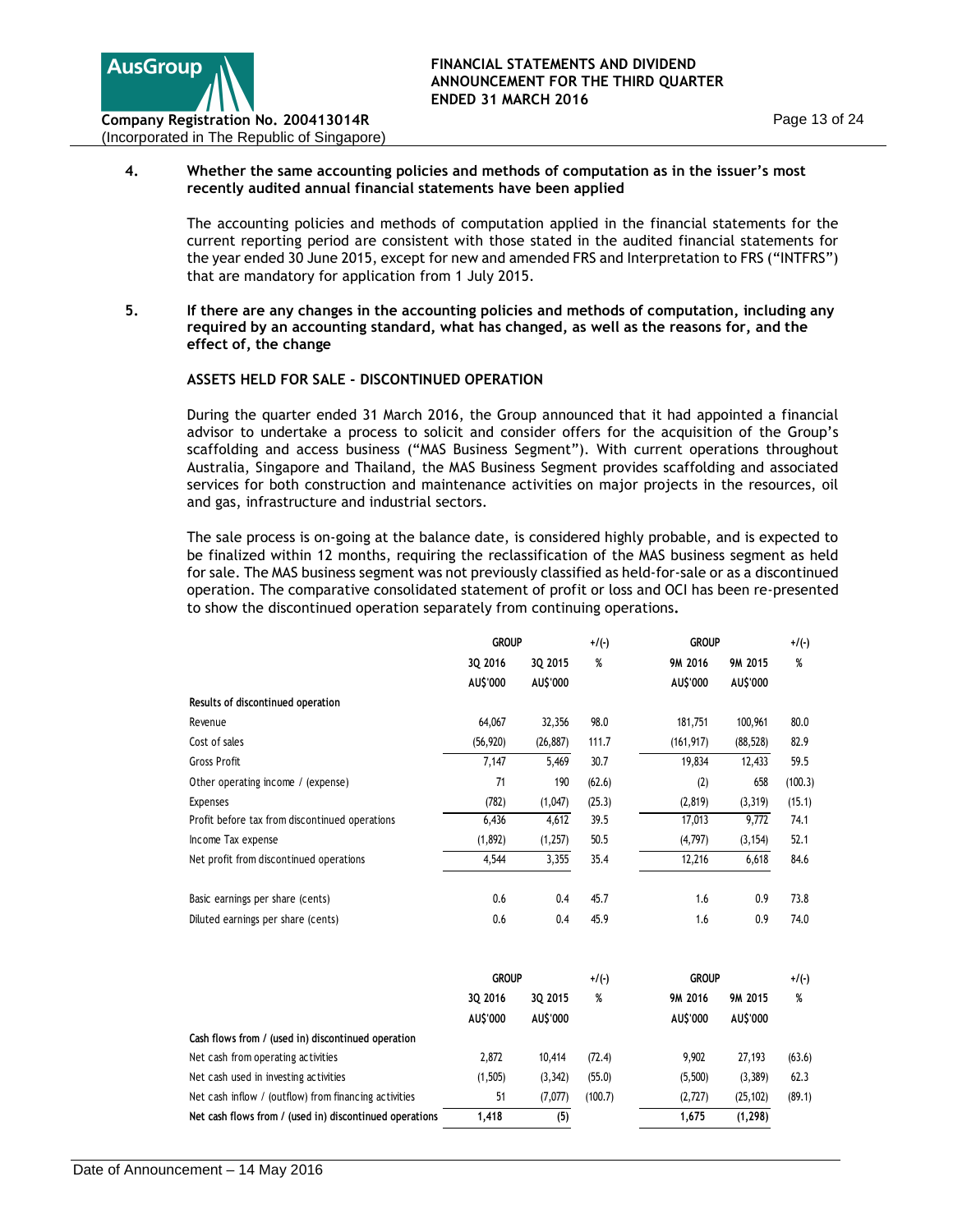

## **4. Whether the same accounting policies and methods of computation as in the issuer's most recently audited annual financial statements have been applied**

The accounting policies and methods of computation applied in the financial statements for the current reporting period are consistent with those stated in the audited financial statements for the year ended 30 June 2015, except for new and amended FRS and Interpretation to FRS ("INTFRS") that are mandatory for application from 1 July 2015.

**5. If there are any changes in the accounting policies and methods of computation, including any required by an accounting standard, what has changed, as well as the reasons for, and the effect of, the change**

# **ASSETS HELD FOR SALE - DISCONTINUED OPERATION**

During the quarter ended 31 March 2016, the Group announced that it had appointed a financial advisor to undertake a process to solicit and consider offers for the acquisition of the Group's scaffolding and access business ("MAS Business Segment"). With current operations throughout Australia, Singapore and Thailand, the MAS Business Segment provides scaffolding and associated services for both construction and maintenance activities on major projects in the resources, oil and gas, infrastructure and industrial sectors.

The sale process is on-going at the balance date, is considered highly probable, and is expected to be finalized within 12 months, requiring the reclassification of the MAS business segment as held for sale. The MAS business segment was not previously classified as held-for-sale or as a discontinued operation. The comparative consolidated statement of profit or loss and OCI has been re-presented to show the discontinued operation separately from continuing operations**.** 

|                                                         | <b>GROUP</b> |           | +/(-)   | <b>GROUP</b> |           | $+$ /(-) |
|---------------------------------------------------------|--------------|-----------|---------|--------------|-----------|----------|
|                                                         | 3Q 2016      | 3Q 2015   | %       | 9M 2016      | 9M 2015   | %        |
|                                                         | AU\$'000     | AU\$'000  |         | AU\$'000     | AU\$'000  |          |
| Results of discontinued operation                       |              |           |         |              |           |          |
| Revenue                                                 | 64,067       | 32,356    | 98.0    | 181,751      | 100,961   | 80.0     |
| Cost of sales                                           | (56, 920)    | (26, 887) | 111.7   | (161, 917)   | (88, 528) | 82.9     |
| <b>Gross Profit</b>                                     | 7,147        | 5,469     | 30.7    | 19,834       | 12,433    | 59.5     |
| Other operating income / (expense)                      | 71           | 190       | (62.6)  | (2)          | 658       | (100.3)  |
| <b>Expenses</b>                                         | (782)        | (1,047)   | (25.3)  | (2, 819)     | (3, 319)  | (15.1)   |
| Profit before tax from discontinued operations          | 6,436        | 4,612     | 39.5    | 17,013       | 9,772     | 74.1     |
| Income Tax expense                                      | (1,892)      | (1,257)   | 50.5    | (4,797)      | (3, 154)  | 52.1     |
| Net profit from discontinued operations                 | 4,544        | 3,355     | 35.4    | 12,216       | 6,618     | 84.6     |
| Basic earnings per share (cents)                        | 0.6          | 0.4       | 45.7    | 1.6          | 0.9       | 73.8     |
| Diluted earnings per share (cents)                      | 0.6          | 0.4       | 45.9    | 1.6          | 0.9       | 74.0     |
|                                                         | <b>GROUP</b> |           | +/(-)   | <b>GROUP</b> |           | $+$ /(-) |
|                                                         | 3Q 2016      | 3Q 2015   | %       | 9M 2016      | 9M 2015   | %        |
|                                                         | AU\$'000     | AU\$'000  |         | AU\$'000     | AU\$'000  |          |
| Cash flows from / (used in) discontinued operation      |              |           |         |              |           |          |
| Net cash from operating activities                      | 2,872        | 10,414    | (72.4)  | 9,902        | 27,193    | (63.6)   |
| Net cash used in investing activities                   | (1, 505)     | (3, 342)  | (55.0)  | (5,500)      | (3, 389)  | 62.3     |
| Net cash inflow / (outflow) from financing activities   | 51           | (7,077)   | (100.7) | (2,727)      | (25, 102) | (89.1)   |
| Net cash flows from / (used in) discontinued operations | 1,418        | (5)       |         | 1,675        | (1, 298)  |          |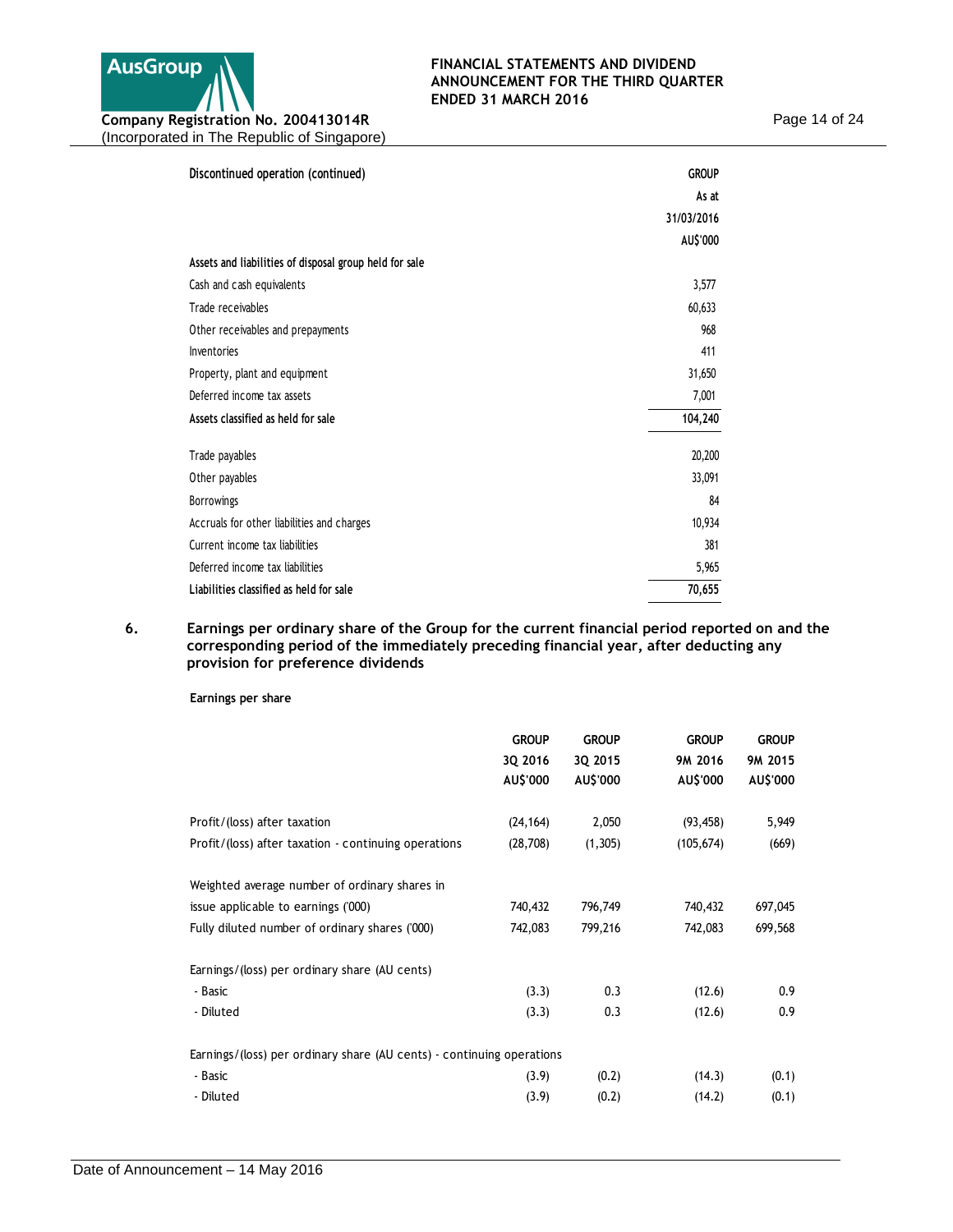

Page 14 of 24

| Discontinued operation (continued)                     | <b>GROUP</b> |
|--------------------------------------------------------|--------------|
|                                                        | As at        |
|                                                        | 31/03/2016   |
|                                                        | AU\$'000     |
| Assets and liabilities of disposal group held for sale |              |
| Cash and cash equivalents                              | 3,577        |
| Trade receivables                                      | 60,633       |
| Other receivables and prepayments                      | 968          |
| Inventories                                            | 411          |
| Property, plant and equipment                          | 31,650       |
| Deferred income tax assets                             | 7,001        |
| Assets classified as held for sale                     | 104,240      |
| Trade payables                                         | 20,200       |
| Other payables                                         | 33,091       |
| <b>Borrowings</b>                                      | 84           |
| Accruals for other liabilities and charges             | 10,934       |
| Current income tax liabilities                         | 381          |
| Deferred income tax liabilities                        | 5,965        |
| Liabilities classified as held for sale                | 70,655       |

## **6. Earnings per ordinary share of the Group for the current financial period reported on and the corresponding period of the immediately preceding financial year, after deducting any provision for preference dividends**

**Earnings per share**

|                                                                       | <b>GROUP</b><br>3Q 2016<br>AU\$'000 | <b>GROUP</b><br>3Q 2015<br>AU\$'000 | <b>GROUP</b><br>9M 2016<br>AU\$'000 | <b>GROUP</b><br>9M 2015<br>AU\$'000 |
|-----------------------------------------------------------------------|-------------------------------------|-------------------------------------|-------------------------------------|-------------------------------------|
| Profit/(loss) after taxation                                          | (24, 164)                           | 2,050                               | (93, 458)                           | 5,949                               |
| Profit/(loss) after taxation - continuing operations                  | (28, 708)                           | (1,305)                             | (105, 674)                          | (669)                               |
| Weighted average number of ordinary shares in                         |                                     |                                     |                                     |                                     |
| issue applicable to earnings ('000)                                   | 740,432                             | 796,749                             | 740,432                             | 697,045                             |
| Fully diluted number of ordinary shares ('000)                        | 742,083                             | 799,216                             | 742,083                             | 699,568                             |
| Earnings/(loss) per ordinary share (AU cents)                         |                                     |                                     |                                     |                                     |
| - Basic                                                               | (3.3)                               | 0.3                                 | (12.6)                              | 0.9                                 |
| - Diluted                                                             | (3.3)                               | 0.3                                 | (12.6)                              | 0.9                                 |
| Earnings/(loss) per ordinary share (AU cents) - continuing operations |                                     |                                     |                                     |                                     |
| - Basic                                                               | (3.9)                               | (0.2)                               | (14.3)                              | (0.1)                               |
| - Diluted                                                             | (3.9)                               | (0.2)                               | (14.2)                              | (0.1)                               |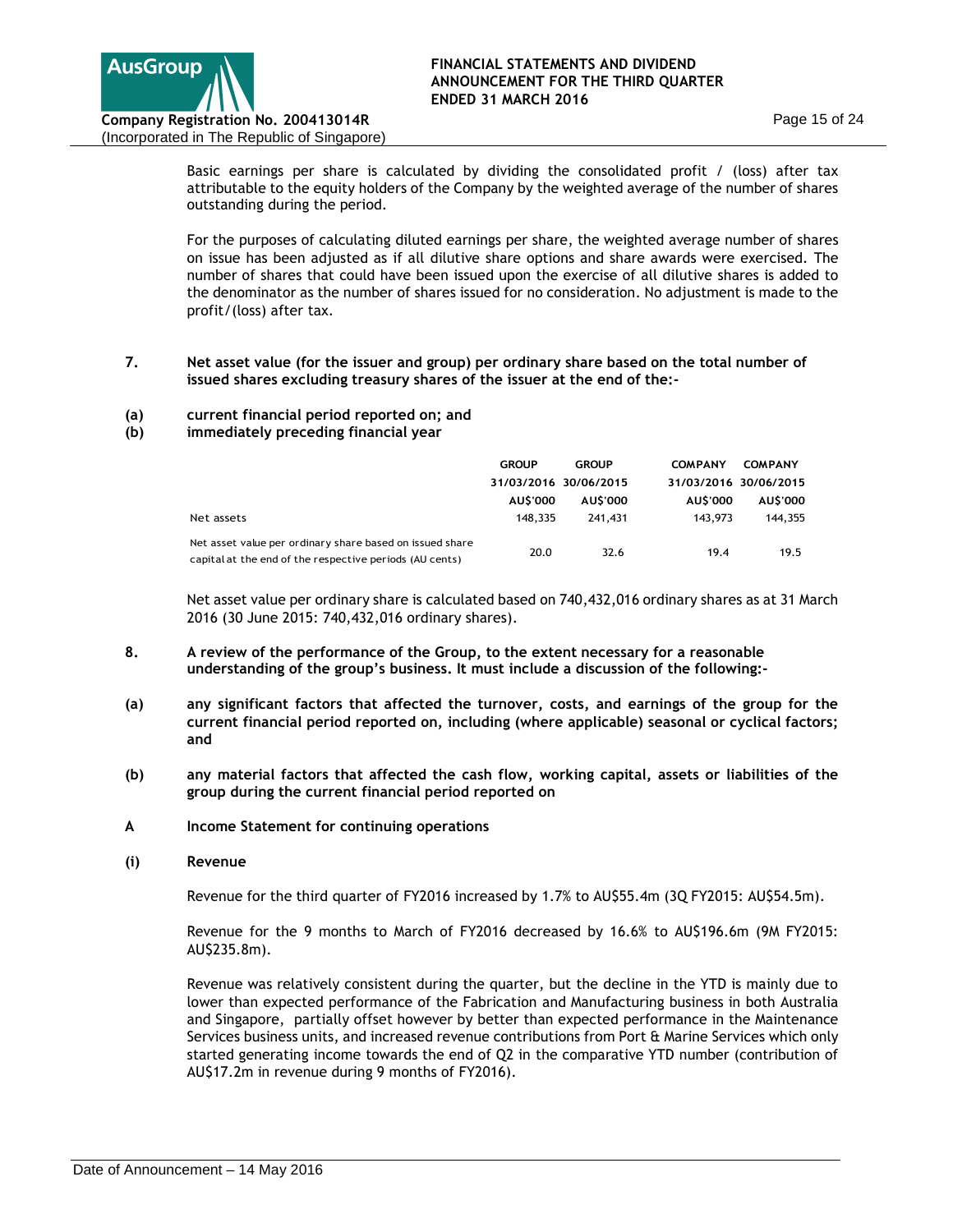

Basic earnings per share is calculated by dividing the consolidated profit / (loss) after tax attributable to the equity holders of the Company by the weighted average of the number of shares outstanding during the period.

For the purposes of calculating diluted earnings per share, the weighted average number of shares on issue has been adjusted as if all dilutive share options and share awards were exercised. The number of shares that could have been issued upon the exercise of all dilutive shares is added to the denominator as the number of shares issued for no consideration. No adjustment is made to the profit/(loss) after tax.

## **7. Net asset value (for the issuer and group) per ordinary share based on the total number of issued shares excluding treasury shares of the issuer at the end of the:-**

- **(a) current financial period reported on; and**
- **(b) immediately preceding financial year**

|                                                                                                                     | <b>GROUP</b>          | <b>GROUP</b> | <b>COMPANY</b> | <b>COMPANY</b>        |
|---------------------------------------------------------------------------------------------------------------------|-----------------------|--------------|----------------|-----------------------|
|                                                                                                                     | 31/03/2016 30/06/2015 |              |                | 31/03/2016 30/06/2015 |
|                                                                                                                     | <b>AUS'000</b>        | AU\$'000     | AU\$'000       | <b>AUS'000</b>        |
| Net assets                                                                                                          | 148,335               | 241.431      | 143,973        | 144,355               |
| Net asset value per ordinary share based on issued share<br>capital at the end of the respective periods (AU cents) | 20.0                  | 32.6         | 19.4           | 19.5                  |

Net asset value per ordinary share is calculated based on 740,432,016 ordinary shares as at 31 March 2016 (30 June 2015: 740,432,016 ordinary shares).

- **8. A review of the performance of the Group, to the extent necessary for a reasonable understanding of the group's business. It must include a discussion of the following:-**
- **(a) any significant factors that affected the turnover, costs, and earnings of the group for the current financial period reported on, including (where applicable) seasonal or cyclical factors; and**
- **(b) any material factors that affected the cash flow, working capital, assets or liabilities of the group during the current financial period reported on**
- **A Income Statement for continuing operations**
- **(i) Revenue**

Revenue for the third quarter of FY2016 increased by 1.7% to AU\$55.4m (3Q FY2015: AU\$54.5m).

Revenue for the 9 months to March of FY2016 decreased by 16.6% to AU\$196.6m (9M FY2015: AU\$235.8m).

Revenue was relatively consistent during the quarter, but the decline in the YTD is mainly due to lower than expected performance of the Fabrication and Manufacturing business in both Australia and Singapore, partially offset however by better than expected performance in the Maintenance Services business units, and increased revenue contributions from Port & Marine Services which only started generating income towards the end of Q2 in the comparative YTD number (contribution of AU\$17.2m in revenue during 9 months of FY2016).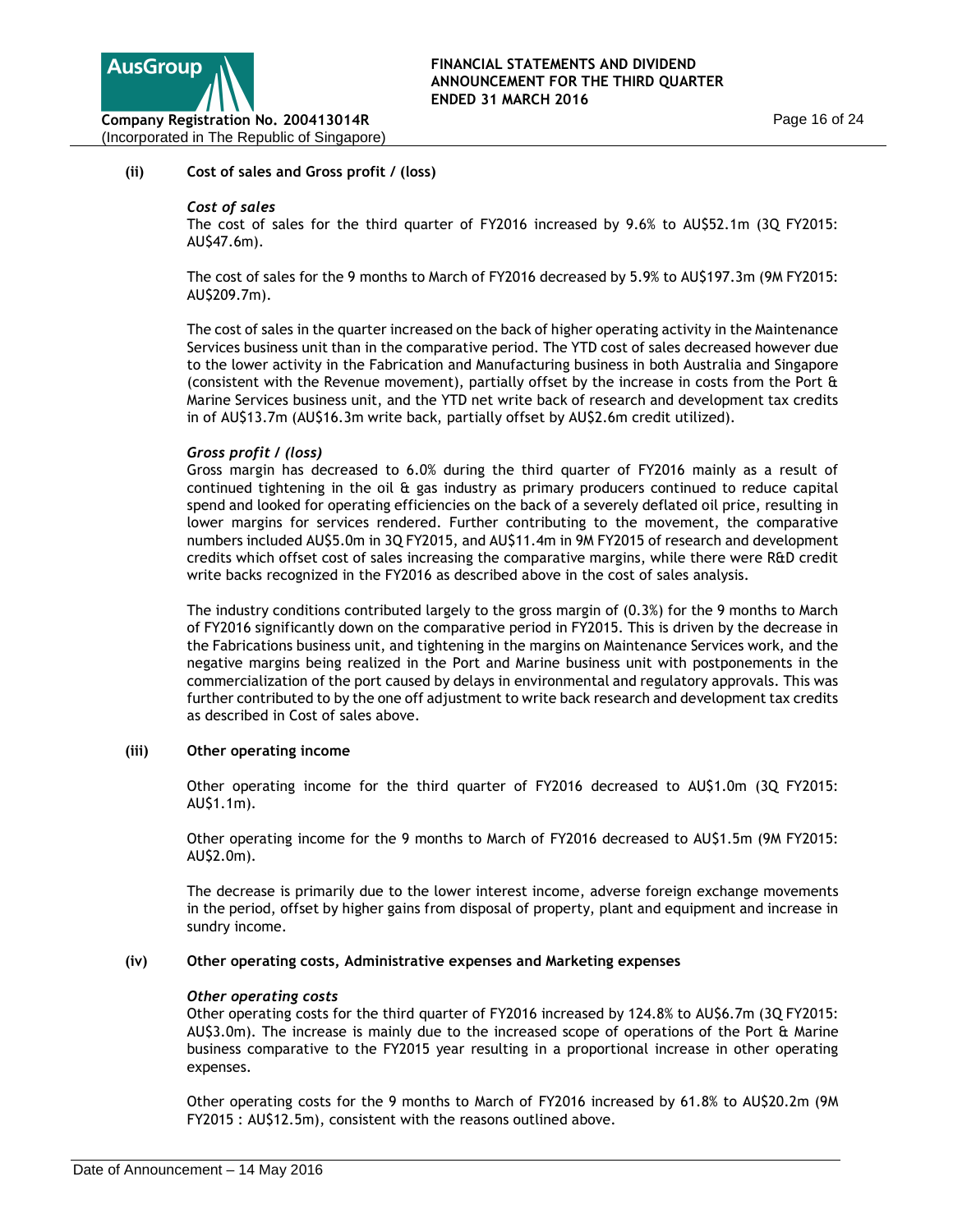

## **(ii) Cost of sales and Gross profit / (loss)**

### *Cost of sales*

The cost of sales for the third quarter of FY2016 increased by 9.6% to AU\$52.1m (3Q FY2015: AU\$47.6m).

The cost of sales for the 9 months to March of FY2016 decreased by 5.9% to AU\$197.3m (9M FY2015: AU\$209.7m).

The cost of sales in the quarter increased on the back of higher operating activity in the Maintenance Services business unit than in the comparative period. The YTD cost of sales decreased however due to the lower activity in the Fabrication and Manufacturing business in both Australia and Singapore (consistent with the Revenue movement), partially offset by the increase in costs from the Port & Marine Services business unit, and the YTD net write back of research and development tax credits in of AU\$13.7m (AU\$16.3m write back, partially offset by AU\$2.6m credit utilized).

## *Gross profit / (loss)*

Gross margin has decreased to 6.0% during the third quarter of FY2016 mainly as a result of continued tightening in the oil & gas industry as primary producers continued to reduce capital spend and looked for operating efficiencies on the back of a severely deflated oil price, resulting in lower margins for services rendered. Further contributing to the movement, the comparative numbers included AU\$5.0m in 3Q FY2015, and AU\$11.4m in 9M FY2015 of research and development credits which offset cost of sales increasing the comparative margins, while there were R&D credit write backs recognized in the FY2016 as described above in the cost of sales analysis.

The industry conditions contributed largely to the gross margin of (0.3%) for the 9 months to March of FY2016 significantly down on the comparative period in FY2015. This is driven by the decrease in the Fabrications business unit, and tightening in the margins on Maintenance Services work, and the negative margins being realized in the Port and Marine business unit with postponements in the commercialization of the port caused by delays in environmental and regulatory approvals. This was further contributed to by the one off adjustment to write back research and development tax credits as described in Cost of sales above.

### **(iii) Other operating income**

Other operating income for the third quarter of FY2016 decreased to AU\$1.0m (3Q FY2015: AU\$1.1m).

Other operating income for the 9 months to March of FY2016 decreased to AU\$1.5m (9M FY2015: AU\$2.0m).

The decrease is primarily due to the lower interest income, adverse foreign exchange movements in the period, offset by higher gains from disposal of property, plant and equipment and increase in sundry income.

### **(iv) Other operating costs, Administrative expenses and Marketing expenses**

### *Other operating costs*

Other operating costs for the third quarter of FY2016 increased by 124.8% to AU\$6.7m (3Q FY2015: AU\$3.0m). The increase is mainly due to the increased scope of operations of the Port & Marine business comparative to the FY2015 year resulting in a proportional increase in other operating expenses.

Other operating costs for the 9 months to March of FY2016 increased by 61.8% to AU\$20.2m (9M FY2015 : AU\$12.5m), consistent with the reasons outlined above.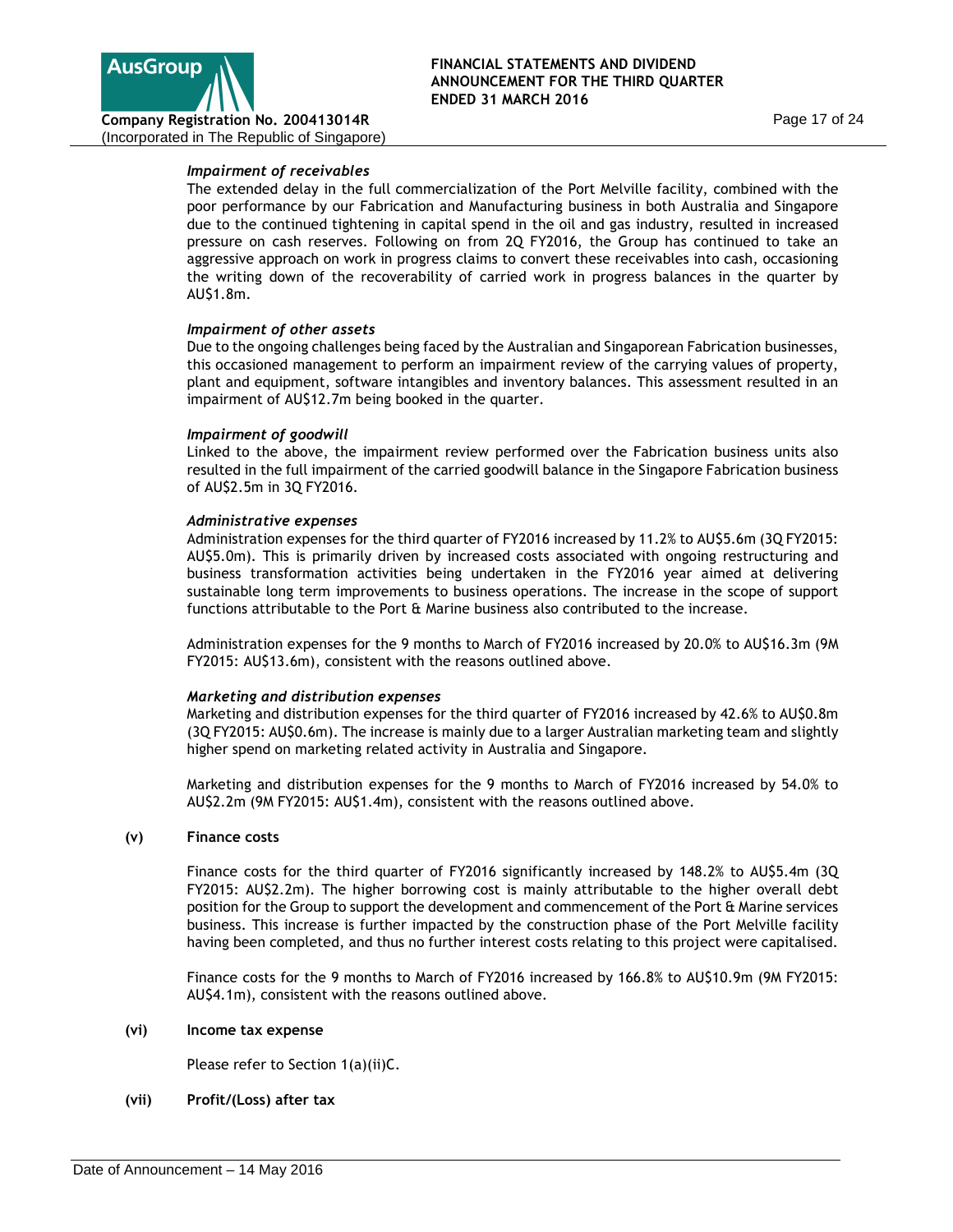

# *Impairment of receivables*

The extended delay in the full commercialization of the Port Melville facility, combined with the poor performance by our Fabrication and Manufacturing business in both Australia and Singapore due to the continued tightening in capital spend in the oil and gas industry, resulted in increased pressure on cash reserves. Following on from 2Q FY2016, the Group has continued to take an aggressive approach on work in progress claims to convert these receivables into cash, occasioning the writing down of the recoverability of carried work in progress balances in the quarter by AU\$1.8m.

## *Impairment of other assets*

Due to the ongoing challenges being faced by the Australian and Singaporean Fabrication businesses, this occasioned management to perform an impairment review of the carrying values of property, plant and equipment, software intangibles and inventory balances. This assessment resulted in an impairment of AU\$12.7m being booked in the quarter.

### *Impairment of goodwill*

Linked to the above, the impairment review performed over the Fabrication business units also resulted in the full impairment of the carried goodwill balance in the Singapore Fabrication business of AU\$2.5m in 3Q FY2016.

## *Administrative expenses*

Administration expenses for the third quarter of FY2016 increased by 11.2% to AU\$5.6m (3Q FY2015: AU\$5.0m). This is primarily driven by increased costs associated with ongoing restructuring and business transformation activities being undertaken in the FY2016 year aimed at delivering sustainable long term improvements to business operations. The increase in the scope of support functions attributable to the Port & Marine business also contributed to the increase.

Administration expenses for the 9 months to March of FY2016 increased by 20.0% to AU\$16.3m (9M FY2015: AU\$13.6m), consistent with the reasons outlined above.

# *Marketing and distribution expenses*

Marketing and distribution expenses for the third quarter of FY2016 increased by 42.6% to AU\$0.8m (3Q FY2015: AU\$0.6m). The increase is mainly due to a larger Australian marketing team and slightly higher spend on marketing related activity in Australia and Singapore.

Marketing and distribution expenses for the 9 months to March of FY2016 increased by 54.0% to AU\$2.2m (9M FY2015: AU\$1.4m), consistent with the reasons outlined above.

### **(v) Finance costs**

Finance costs for the third quarter of FY2016 significantly increased by 148.2% to AU\$5.4m (3Q FY2015: AU\$2.2m). The higher borrowing cost is mainly attributable to the higher overall debt position for the Group to support the development and commencement of the Port & Marine services business. This increase is further impacted by the construction phase of the Port Melville facility having been completed, and thus no further interest costs relating to this project were capitalised.

Finance costs for the 9 months to March of FY2016 increased by 166.8% to AU\$10.9m (9M FY2015: AU\$4.1m), consistent with the reasons outlined above.

### **(vi) Income tax expense**

Please refer to Section 1(a)(ii)C.

# **(vii) Profit/(Loss) after tax**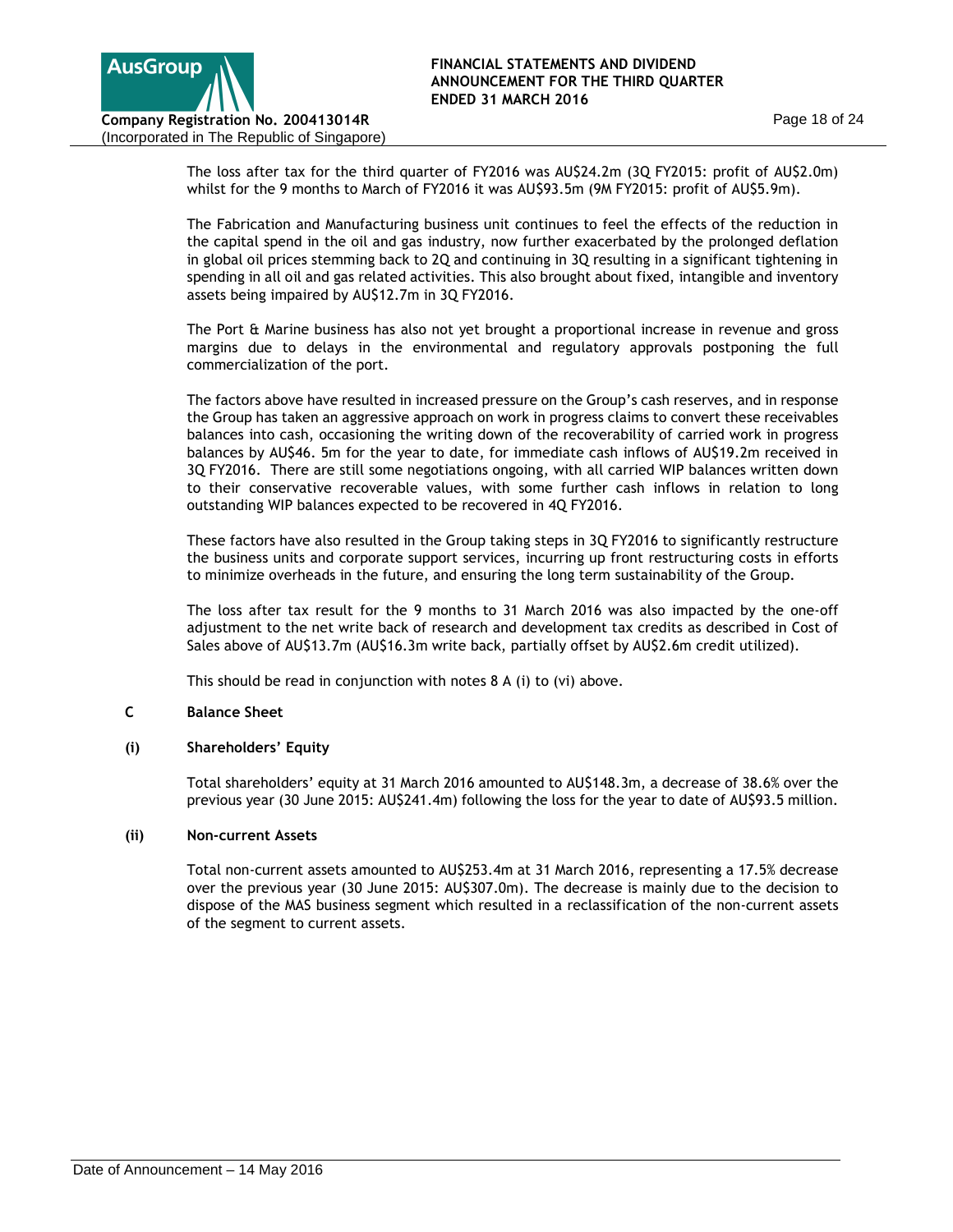

The loss after tax for the third quarter of FY2016 was AU\$24.2m (3Q FY2015: profit of AU\$2.0m) whilst for the 9 months to March of FY2016 it was AU\$93.5m (9M FY2015: profit of AU\$5.9m).

The Fabrication and Manufacturing business unit continues to feel the effects of the reduction in the capital spend in the oil and gas industry, now further exacerbated by the prolonged deflation in global oil prices stemming back to 2Q and continuing in 3Q resulting in a significant tightening in spending in all oil and gas related activities. This also brought about fixed, intangible and inventory assets being impaired by AU\$12.7m in 3Q FY2016.

The Port & Marine business has also not yet brought a proportional increase in revenue and gross margins due to delays in the environmental and regulatory approvals postponing the full commercialization of the port.

The factors above have resulted in increased pressure on the Group's cash reserves, and in response the Group has taken an aggressive approach on work in progress claims to convert these receivables balances into cash, occasioning the writing down of the recoverability of carried work in progress balances by AU\$46. 5m for the year to date, for immediate cash inflows of AU\$19.2m received in 3Q FY2016. There are still some negotiations ongoing, with all carried WIP balances written down to their conservative recoverable values, with some further cash inflows in relation to long outstanding WIP balances expected to be recovered in 4Q FY2016.

These factors have also resulted in the Group taking steps in 3Q FY2016 to significantly restructure the business units and corporate support services, incurring up front restructuring costs in efforts to minimize overheads in the future, and ensuring the long term sustainability of the Group.

The loss after tax result for the 9 months to 31 March 2016 was also impacted by the one-off adjustment to the net write back of research and development tax credits as described in Cost of Sales above of AU\$13.7m (AU\$16.3m write back, partially offset by AU\$2.6m credit utilized).

This should be read in conjunction with notes 8 A (i) to (vi) above.

# **C Balance Sheet**

# **(i) Shareholders' Equity**

Total shareholders' equity at 31 March 2016 amounted to AU\$148.3m, a decrease of 38.6% over the previous year (30 June 2015: AU\$241.4m) following the loss for the year to date of AU\$93.5 million.

# **(ii) Non-current Assets**

Total non-current assets amounted to AU\$253.4m at 31 March 2016, representing a 17.5% decrease over the previous year (30 June 2015: AU\$307.0m). The decrease is mainly due to the decision to dispose of the MAS business segment which resulted in a reclassification of the non-current assets of the segment to current assets.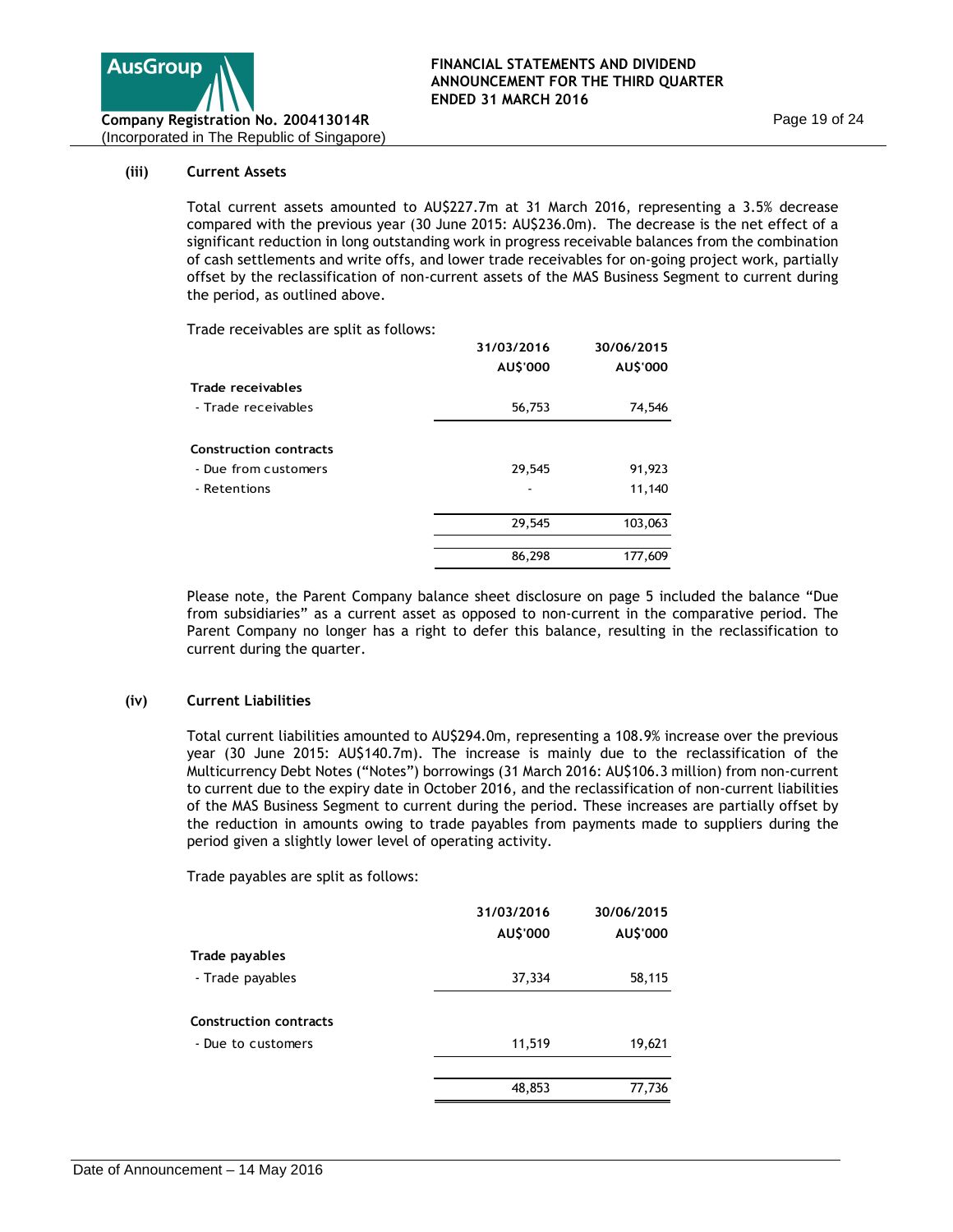

### **(iii) Current Assets**

Total current assets amounted to AU\$227.7m at 31 March 2016, representing a 3.5% decrease compared with the previous year (30 June 2015: AU\$236.0m). The decrease is the net effect of a significant reduction in long outstanding work in progress receivable balances from the combination of cash settlements and write offs, and lower trade receivables for on-going project work, partially offset by the reclassification of non-current assets of the MAS Business Segment to current during the period, as outlined above.

Trade receivables are split as follows:

|                               | 31/03/2016 | 30/06/2015 |
|-------------------------------|------------|------------|
|                               | AU\$'000   | AU\$'000   |
| Trade receivables             |            |            |
| - Trade receivables           | 56,753     | 74,546     |
| <b>Construction contracts</b> |            |            |
| - Due from customers          | 29,545     | 91,923     |
| - Retentions                  |            | 11,140     |
|                               | 29,545     | 103,063    |
|                               | 86,298     | 177,609    |
|                               |            |            |

Please note, the Parent Company balance sheet disclosure on page 5 included the balance "Due from subsidiaries" as a current asset as opposed to non-current in the comparative period. The Parent Company no longer has a right to defer this balance, resulting in the reclassification to current during the quarter.

### **(iv) Current Liabilities**

Total current liabilities amounted to AU\$294.0m, representing a 108.9% increase over the previous year (30 June 2015: AU\$140.7m). The increase is mainly due to the reclassification of the Multicurrency Debt Notes ("Notes") borrowings (31 March 2016: AU\$106.3 million) from non-current to current due to the expiry date in October 2016, and the reclassification of non-current liabilities of the MAS Business Segment to current during the period. These increases are partially offset by the reduction in amounts owing to trade payables from payments made to suppliers during the period given a slightly lower level of operating activity.

Trade payables are split as follows:

|                               | 31/03/2016 | 30/06/2015 |
|-------------------------------|------------|------------|
|                               | AU\$'000   | AU\$'000   |
| Trade payables                |            |            |
| - Trade payables              | 37,334     | 58,115     |
|                               |            |            |
| <b>Construction contracts</b> |            |            |
| - Due to customers            | 11,519     | 19,621     |
|                               |            |            |
|                               | 48,853     | 77,736     |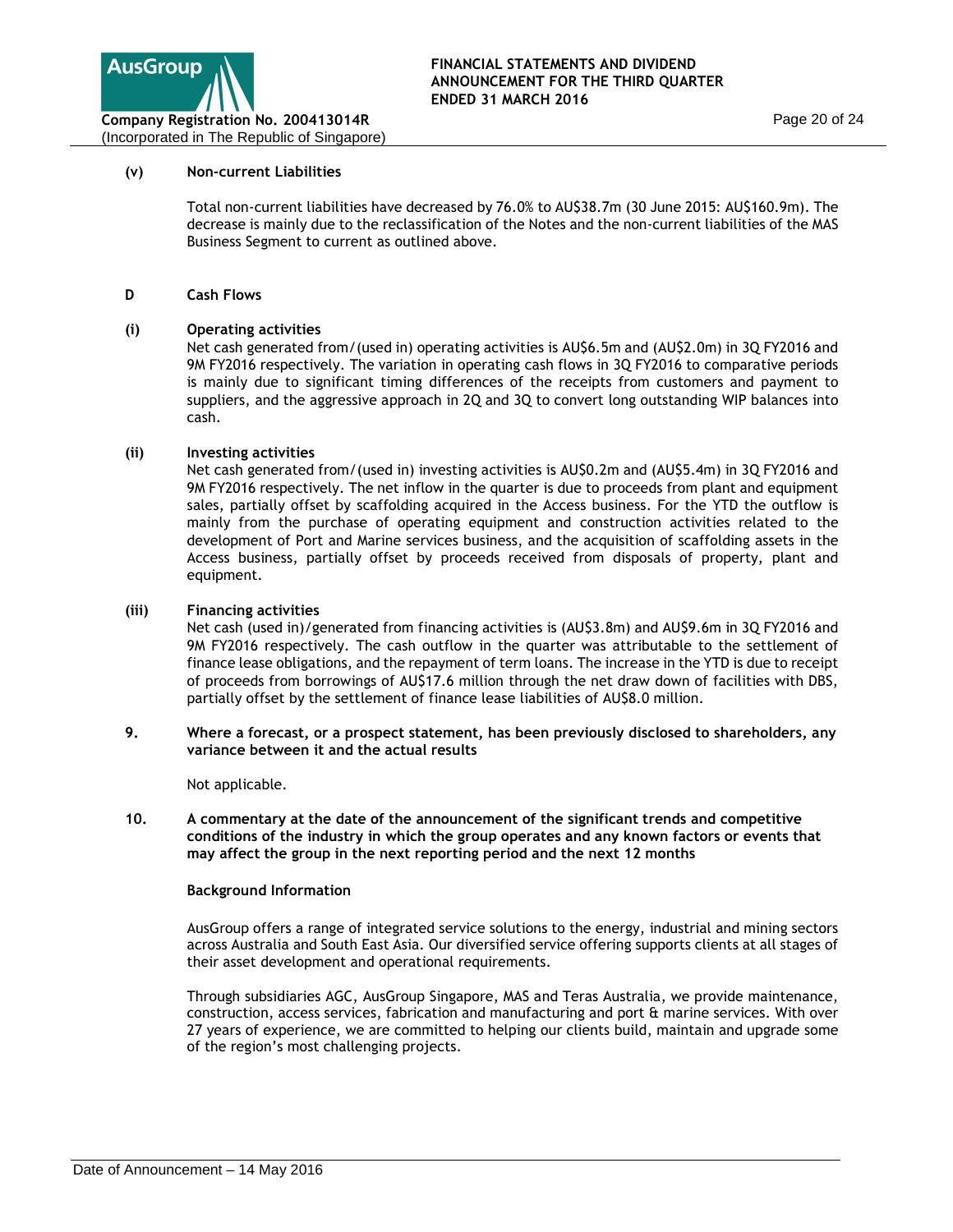

### **(v) Non-current Liabilities**

Total non-current liabilities have decreased by 76.0% to AU\$38.7m (30 June 2015: AU\$160.9m). The decrease is mainly due to the reclassification of the Notes and the non-current liabilities of the MAS Business Segment to current as outlined above.

## **D Cash Flows**

## **(i) Operating activities**

Net cash generated from/(used in) operating activities is AU\$6.5m and (AU\$2.0m) in 3Q FY2016 and 9M FY2016 respectively. The variation in operating cash flows in 3Q FY2016 to comparative periods is mainly due to significant timing differences of the receipts from customers and payment to suppliers, and the aggressive approach in 2Q and 3Q to convert long outstanding WIP balances into cash.

## **(ii) Investing activities**

Net cash generated from/(used in) investing activities is AU\$0.2m and (AU\$5.4m) in 3Q FY2016 and 9M FY2016 respectively. The net inflow in the quarter is due to proceeds from plant and equipment sales, partially offset by scaffolding acquired in the Access business. For the YTD the outflow is mainly from the purchase of operating equipment and construction activities related to the development of Port and Marine services business, and the acquisition of scaffolding assets in the Access business, partially offset by proceeds received from disposals of property, plant and equipment.

## **(iii) Financing activities**

Net cash (used in)/generated from financing activities is (AU\$3.8m) and AU\$9.6m in 3Q FY2016 and 9M FY2016 respectively. The cash outflow in the quarter was attributable to the settlement of finance lease obligations, and the repayment of term loans. The increase in the YTD is due to receipt of proceeds from borrowings of AU\$17.6 million through the net draw down of facilities with DBS, partially offset by the settlement of finance lease liabilities of AU\$8.0 million.

### **9. Where a forecast, or a prospect statement, has been previously disclosed to shareholders, any variance between it and the actual results**

Not applicable.

**10. A commentary at the date of the announcement of the significant trends and competitive conditions of the industry in which the group operates and any known factors or events that may affect the group in the next reporting period and the next 12 months** 

### **Background Information**

AusGroup offers a range of integrated service solutions to the energy, industrial and mining sectors across Australia and South East Asia. Our diversified service offering supports clients at all stages of their asset development and operational requirements.

Through subsidiaries AGC, AusGroup Singapore, MAS and Teras Australia, we provide maintenance, construction, access services, fabrication and manufacturing and port & marine services. With over 27 years of experience, we are committed to helping our clients build, maintain and upgrade some of the region's most challenging projects.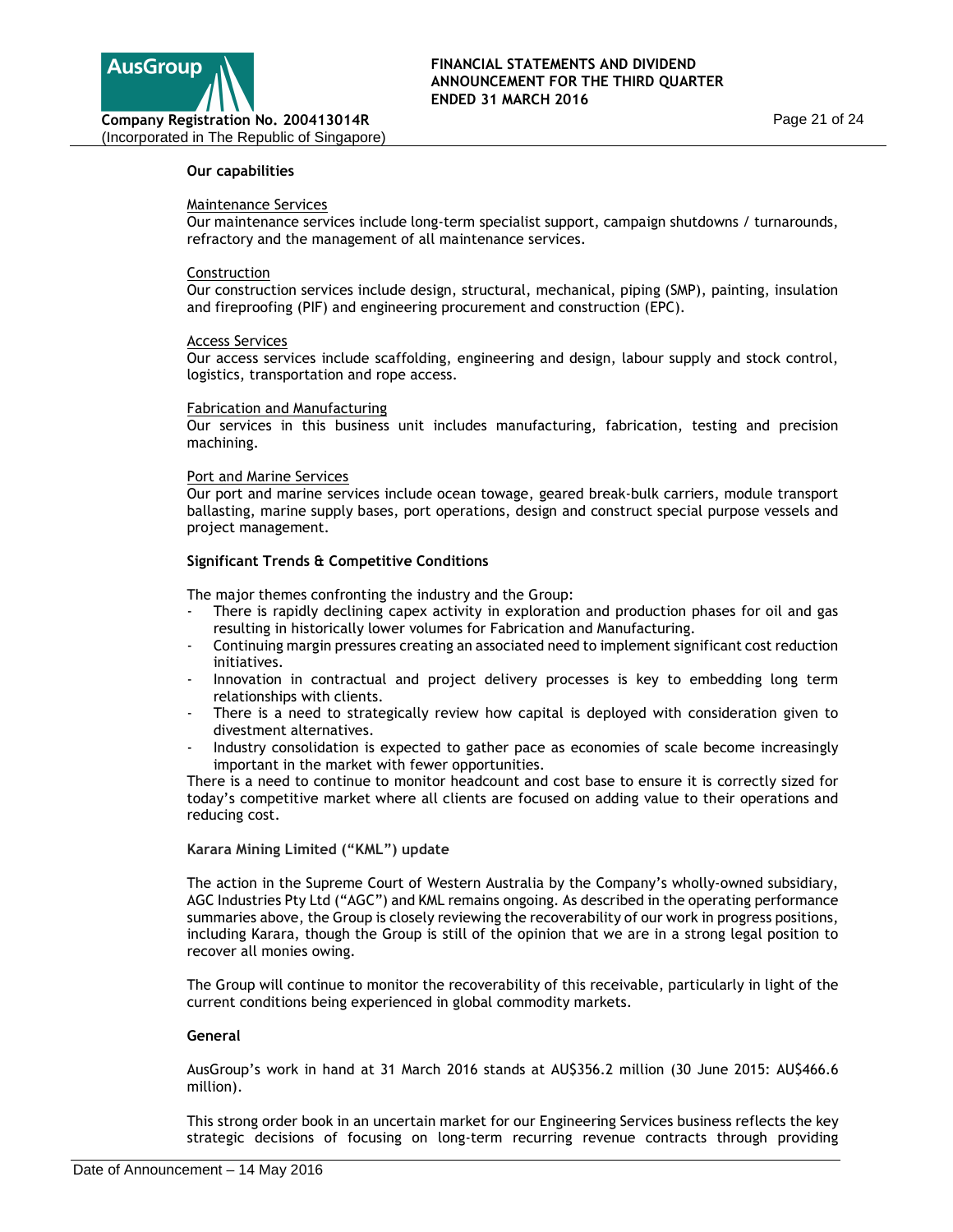

### **Our capabilities**

#### Maintenance Services

Our maintenance services include long-term specialist support, campaign shutdowns / turnarounds, refractory and the management of all maintenance services.

#### **Construction**

Our construction services include design, structural, mechanical, piping (SMP), painting, insulation and fireproofing (PIF) and engineering procurement and construction (EPC).

#### Access Services

Our access services include scaffolding, engineering and design, labour supply and stock control, logistics, transportation and rope access.

#### Fabrication and Manufacturing

Our services in this business unit includes manufacturing, fabrication, testing and precision machining.

#### Port and Marine Services

Our port and marine services include ocean towage, geared break-bulk carriers, module transport ballasting, marine supply bases, port operations, design and construct special purpose vessels and project management.

### **Significant Trends & Competitive Conditions**

The major themes confronting the industry and the Group:

- There is rapidly declining capex activity in exploration and production phases for oil and gas resulting in historically lower volumes for Fabrication and Manufacturing.
- Continuing margin pressures creating an associated need to implement significant cost reduction initiatives.
- Innovation in contractual and project delivery processes is key to embedding long term relationships with clients.
- There is a need to strategically review how capital is deployed with consideration given to divestment alternatives.
- Industry consolidation is expected to gather pace as economies of scale become increasingly important in the market with fewer opportunities.

There is a need to continue to monitor headcount and cost base to ensure it is correctly sized for today's competitive market where all clients are focused on adding value to their operations and reducing cost.

### **Karara Mining Limited ("KML") update**

The action in the Supreme Court of Western Australia by the Company's wholly-owned subsidiary, AGC Industries Pty Ltd ("AGC") and KML remains ongoing. As described in the operating performance summaries above, the Group is closely reviewing the recoverability of our work in progress positions, including Karara, though the Group is still of the opinion that we are in a strong legal position to recover all monies owing.

The Group will continue to monitor the recoverability of this receivable, particularly in light of the current conditions being experienced in global commodity markets.

### **General**

AusGroup's work in hand at 31 March 2016 stands at AU\$356.2 million (30 June 2015: AU\$466.6 million).

This strong order book in an uncertain market for our Engineering Services business reflects the key strategic decisions of focusing on long-term recurring revenue contracts through providing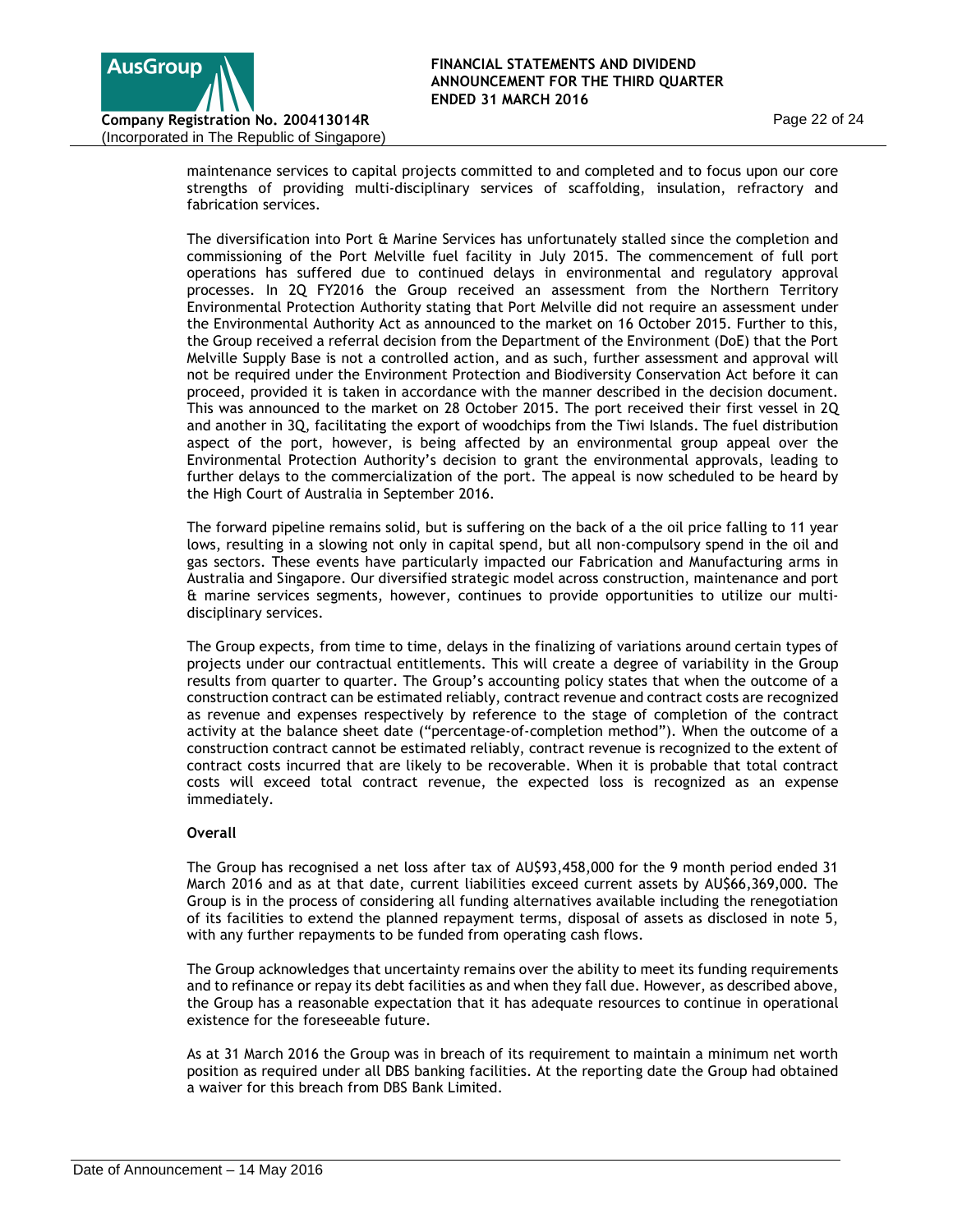

maintenance services to capital projects committed to and completed and to focus upon our core strengths of providing multi-disciplinary services of scaffolding, insulation, refractory and fabrication services.

The diversification into Port & Marine Services has unfortunately stalled since the completion and commissioning of the Port Melville fuel facility in July 2015. The commencement of full port operations has suffered due to continued delays in environmental and regulatory approval processes. In 2Q FY2016 the Group received an assessment from the Northern Territory Environmental Protection Authority stating that Port Melville did not require an assessment under the Environmental Authority Act as announced to the market on 16 October 2015. Further to this, the Group received a referral decision from the Department of the Environment (DoE) that the Port Melville Supply Base is not a controlled action, and as such, further assessment and approval will not be required under the Environment Protection and Biodiversity Conservation Act before it can proceed, provided it is taken in accordance with the manner described in the decision document. This was announced to the market on 28 October 2015. The port received their first vessel in 2Q and another in 3Q, facilitating the export of woodchips from the Tiwi Islands. The fuel distribution aspect of the port, however, is being affected by an environmental group appeal over the Environmental Protection Authority's decision to grant the environmental approvals, leading to further delays to the commercialization of the port. The appeal is now scheduled to be heard by the High Court of Australia in September 2016.

The forward pipeline remains solid, but is suffering on the back of a the oil price falling to 11 year lows, resulting in a slowing not only in capital spend, but all non-compulsory spend in the oil and gas sectors. These events have particularly impacted our Fabrication and Manufacturing arms in Australia and Singapore. Our diversified strategic model across construction, maintenance and port & marine services segments, however, continues to provide opportunities to utilize our multidisciplinary services.

The Group expects, from time to time, delays in the finalizing of variations around certain types of projects under our contractual entitlements. This will create a degree of variability in the Group results from quarter to quarter. The Group's accounting policy states that when the outcome of a construction contract can be estimated reliably, contract revenue and contract costs are recognized as revenue and expenses respectively by reference to the stage of completion of the contract activity at the balance sheet date ("percentage-of-completion method"). When the outcome of a construction contract cannot be estimated reliably, contract revenue is recognized to the extent of contract costs incurred that are likely to be recoverable. When it is probable that total contract costs will exceed total contract revenue, the expected loss is recognized as an expense immediately.

# **Overall**

The Group has recognised a net loss after tax of AU\$93,458,000 for the 9 month period ended 31 March 2016 and as at that date, current liabilities exceed current assets by AU\$66,369,000. The Group is in the process of considering all funding alternatives available including the renegotiation of its facilities to extend the planned repayment terms, disposal of assets as disclosed in note 5, with any further repayments to be funded from operating cash flows.

The Group acknowledges that uncertainty remains over the ability to meet its funding requirements and to refinance or repay its debt facilities as and when they fall due. However, as described above, the Group has a reasonable expectation that it has adequate resources to continue in operational existence for the foreseeable future.

As at 31 March 2016 the Group was in breach of its requirement to maintain a minimum net worth position as required under all DBS banking facilities. At the reporting date the Group had obtained a waiver for this breach from DBS Bank Limited.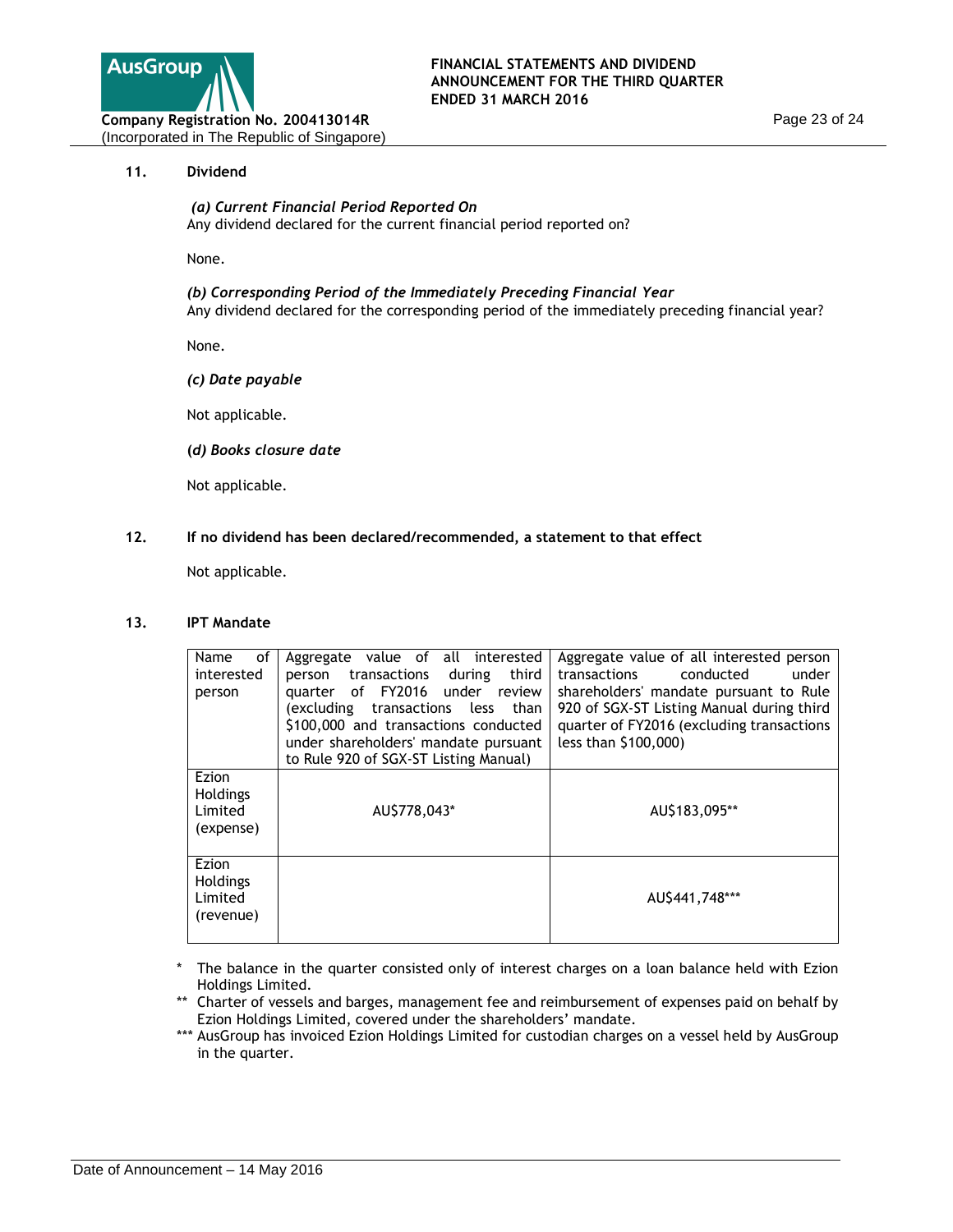

## **11. Dividend**

### *(a) Current Financial Period Reported On* Any dividend declared for the current financial period reported on?

None.

## *(b) Corresponding Period of the Immediately Preceding Financial Year*

Any dividend declared for the corresponding period of the immediately preceding financial year?

None.

*(c) Date payable* 

Not applicable.

 **(***d) Books closure date*

Not applicable.

# **12. If no dividend has been declared/recommended, a statement to that effect**

Not applicable.

## **13. IPT Mandate**

| of<br>Name<br>interested<br>person               | Aggregate value of all interested<br>transactions<br>third<br>during<br>person<br>of FY2016<br>under review<br>quarter<br>excluding transactions less)<br>than<br>\$100,000 and transactions conducted<br>under shareholders' mandate pursuant<br>to Rule 920 of SGX-ST Listing Manual) | Aggregate value of all interested person<br>conducted<br>under<br>transactions<br>shareholders' mandate pursuant to Rule<br>920 of SGX-ST Listing Manual during third<br>quarter of FY2016 (excluding transactions<br>less than \$100,000) |
|--------------------------------------------------|-----------------------------------------------------------------------------------------------------------------------------------------------------------------------------------------------------------------------------------------------------------------------------------------|--------------------------------------------------------------------------------------------------------------------------------------------------------------------------------------------------------------------------------------------|
| Ezion<br>Holdings<br>Limited<br>(expense)        | AU\$778,043*                                                                                                                                                                                                                                                                            | AU\$183,095**                                                                                                                                                                                                                              |
| Ezion<br><b>Holdings</b><br>Limited<br>(revenue) |                                                                                                                                                                                                                                                                                         | AU\$441,748***                                                                                                                                                                                                                             |

- The balance in the quarter consisted only of interest charges on a loan balance held with Ezion Holdings Limited.
- \*\* Charter of vessels and barges, management fee and reimbursement of expenses paid on behalf by Ezion Holdings Limited, covered under the shareholders' mandate.
- \*\*\* AusGroup has invoiced Ezion Holdings Limited for custodian charges on a vessel held by AusGroup in the quarter.